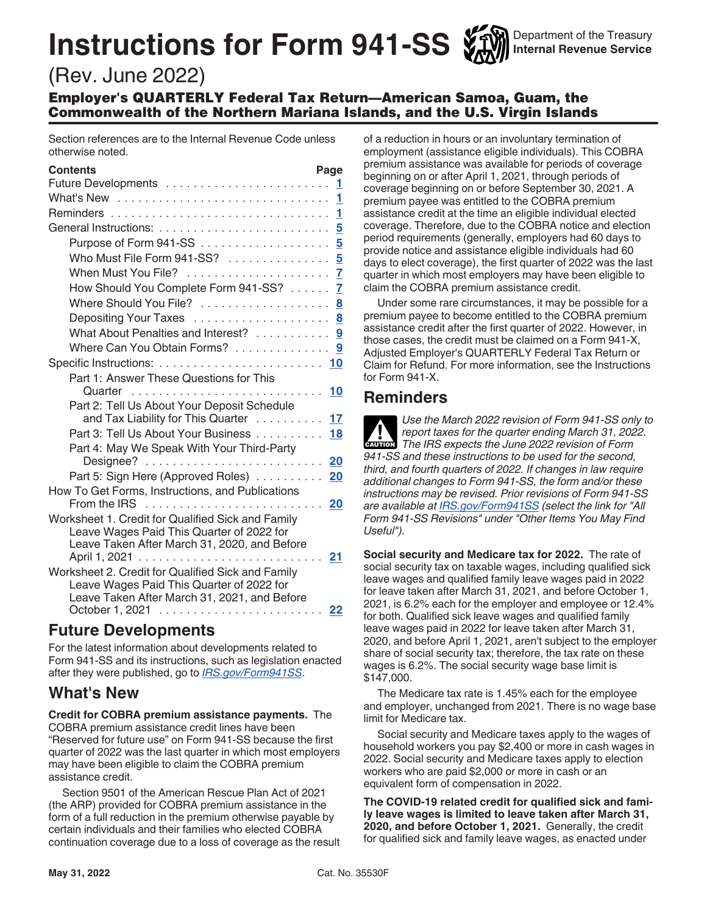# **Instructions for Form 941-SS**

Department of the Treasury **Internal Revenue Service**

# (Rev. June 2022)

Employer's QUARTERLY Federal Tax Return—American Samoa, Guam, the Commonwealth of the Northern Mariana Islands, and the U.S. Virgin Islands

Section references are to the Internal Revenue Code unless otherwise noted.

| <b>Contents</b>                                                                                | Page            |
|------------------------------------------------------------------------------------------------|-----------------|
|                                                                                                | 1               |
| What's New                                                                                     | 1               |
|                                                                                                | 1               |
|                                                                                                | 5               |
| Purpose of Form $941-SS$                                                                       | $5\overline{)}$ |
| Who Must File Form 941-SS?  5                                                                  |                 |
|                                                                                                | 7               |
| How Should You Complete Form 941-SS?                                                           | $\overline{7}$  |
| Where Should You File?  8                                                                      |                 |
|                                                                                                |                 |
| What About Penalties and Interest? 9                                                           |                 |
| Where Can You Obtain Forms?                                                                    | 9               |
|                                                                                                |                 |
| Part 1: Answer These Questions for This                                                        |                 |
| Quarter                                                                                        | 10              |
| Part 2: Tell Us About Your Deposit Schedule                                                    |                 |
| and Tax Liability for This Quarter                                                             | 17              |
| Part 3: Tell Us About Your Business                                                            | 18              |
| Part 4: May We Speak With Your Third-Party                                                     |                 |
| $Designee?$                                                                                    | 20              |
| Part 5: Sign Here (Approved Roles)                                                             | 20              |
| How To Get Forms, Instructions, and Publications                                               |                 |
|                                                                                                | 20              |
| Worksheet 1. Credit for Qualified Sick and Family<br>Leave Wages Paid This Quarter of 2022 for |                 |
| Leave Taken After March 31, 2020, and Before                                                   |                 |
|                                                                                                | 21              |
| Worksheet 2. Credit for Qualified Sick and Family                                              |                 |
| Leave Wages Paid This Quarter of 2022 for                                                      |                 |
| Leave Taken After March 31, 2021, and Before                                                   |                 |
| October 1, 2021                                                                                | 22              |

## **Future Developments**

For the latest information about developments related to Form 941-SS and its instructions, such as legislation enacted after they were published, go to *[IRS.gov/Form941SS](https://www.irs.gov/form941ss)*.

## **What's New**

**Credit for COBRA premium assistance payments.** The COBRA premium assistance credit lines have been "Reserved for future use" on Form 941-SS because the first quarter of 2022 was the last quarter in which most employers may have been eligible to claim the COBRA premium assistance credit.

Section 9501 of the American Rescue Plan Act of 2021 (the ARP) provided for COBRA premium assistance in the form of a full reduction in the premium otherwise payable by certain individuals and their families who elected COBRA continuation coverage due to a loss of coverage as the result of a reduction in hours or an involuntary termination of employment (assistance eligible individuals). This COBRA premium assistance was available for periods of coverage beginning on or after April 1, 2021, through periods of coverage beginning on or before September 30, 2021. A premium payee was entitled to the COBRA premium assistance credit at the time an eligible individual elected coverage. Therefore, due to the COBRA notice and election period requirements (generally, employers had 60 days to provide notice and assistance eligible individuals had 60 days to elect coverage), the first quarter of 2022 was the last quarter in which most employers may have been eligible to claim the COBRA premium assistance credit.

Under some rare circumstances, it may be possible for a premium payee to become entitled to the COBRA premium assistance credit after the first quarter of 2022. However, in those cases, the credit must be claimed on a Form 941-X, Adjusted Employer's QUARTERLY Federal Tax Return or Claim for Refund. For more information, see the Instructions for Form 941-X.

## **Reminders**

*Use the March 2022 revision of Form 941-SS only to report taxes for the quarter ending March 31, 2022.*  **Preport taxes for the quarter ending March 31, 2024<br>
The IRS expects the June 2022 revision of Form** *941-SS and these instructions to be used for the second, third, and fourth quarters of 2022. If changes in law require additional changes to Form 941-SS, the form and/or these instructions may be revised. Prior revisions of Form 941-SS are available at [IRS.gov/Form941SS](https://www.irs.gov/form941ss) (select the link for "All Form 941-SS Revisions" under "Other Items You May Find Useful").*

**Social security and Medicare tax for 2022.** The rate of social security tax on taxable wages, including qualified sick leave wages and qualified family leave wages paid in 2022 for leave taken after March 31, 2021, and before October 1, 2021, is 6.2% each for the employer and employee or 12.4% for both. Qualified sick leave wages and qualified family leave wages paid in 2022 for leave taken after March 31, 2020, and before April 1, 2021, aren't subject to the employer share of social security tax; therefore, the tax rate on these wages is 6.2%. The social security wage base limit is \$147,000.

The Medicare tax rate is 1.45% each for the employee and employer, unchanged from 2021. There is no wage base limit for Medicare tax.

Social security and Medicare taxes apply to the wages of household workers you pay \$2,400 or more in cash wages in 2022. Social security and Medicare taxes apply to election workers who are paid \$2,000 or more in cash or an equivalent form of compensation in 2022.

**The COVID-19 related credit for qualified sick and family leave wages is limited to leave taken after March 31, 2020, and before October 1, 2021.** Generally, the credit for qualified sick and family leave wages, as enacted under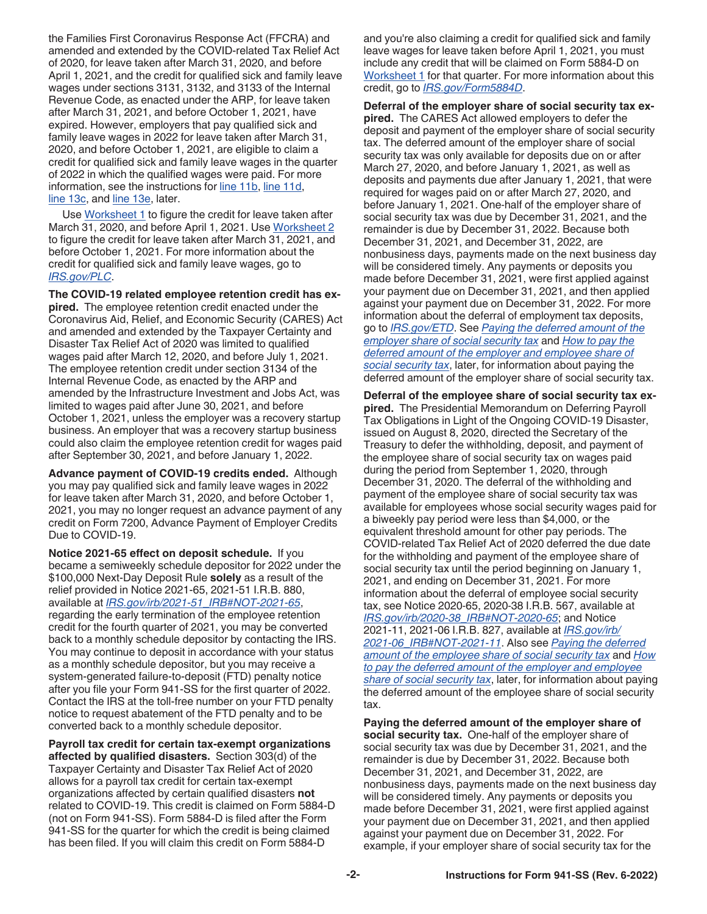the Families First Coronavirus Response Act (FFCRA) and amended and extended by the COVID-related Tax Relief Act of 2020, for leave taken after March 31, 2020, and before April 1, 2021, and the credit for qualified sick and family leave wages under sections 3131, 3132, and 3133 of the Internal Revenue Code, as enacted under the ARP, for leave taken after March 31, 2021, and before October 1, 2021, have expired. However, employers that pay qualified sick and family leave wages in 2022 for leave taken after March 31, 2020, and before October 1, 2021, are eligible to claim a credit for qualified sick and family leave wages in the quarter of 2022 in which the qualified wages were paid. For more information, see the instructions for [line 11b](#page-12-0), [line 11d](#page-13-0), [line 13c](#page-15-0), and [line 13e](#page-15-0), later.

Use [Worksheet 1](#page-20-0) to figure the credit for leave taken after March 31, 2020, and before April 1, 2021. Use Worksheet 2 to figure the credit for leave taken after March 31, 2021, and before October 1, 2021. For more information about the credit for qualified sick and family leave wages, go to *[IRS.gov/PLC](https://www.irs.gov/plc)*.

**The COVID-19 related employee retention credit has expired.** The employee retention credit enacted under the Coronavirus Aid, Relief, and Economic Security (CARES) Act and amended and extended by the Taxpayer Certainty and Disaster Tax Relief Act of 2020 was limited to qualified wages paid after March 12, 2020, and before July 1, 2021. The employee retention credit under section 3134 of the Internal Revenue Code, as enacted by the ARP and amended by the Infrastructure Investment and Jobs Act, was limited to wages paid after June 30, 2021, and before October 1, 2021, unless the employer was a recovery startup business. An employer that was a recovery startup business could also claim the employee retention credit for wages paid after September 30, 2021, and before January 1, 2022.

**Advance payment of COVID-19 credits ended.** Although you may pay qualified sick and family leave wages in 2022 for leave taken after March 31, 2020, and before October 1, 2021, you may no longer request an advance payment of any credit on Form 7200, Advance Payment of Employer Credits Due to COVID-19.

**Notice 2021-65 effect on deposit schedule.** If you became a semiweekly schedule depositor for 2022 under the \$100,000 Next-Day Deposit Rule **solely** as a result of the relief provided in Notice 2021-65, 2021-51 I.R.B. 880, available at *[IRS.gov/irb/2021-51\\_IRB#NOT-2021-65](https://www.irs.gov/irb/2021-51_IRB#NOT-2021-65)*, regarding the early termination of the employee retention credit for the fourth quarter of 2021, you may be converted back to a monthly schedule depositor by contacting the IRS. You may continue to deposit in accordance with your status as a monthly schedule depositor, but you may receive a system-generated failure-to-deposit (FTD) penalty notice after you file your Form 941-SS for the first quarter of 2022. Contact the IRS at the toll-free number on your FTD penalty notice to request abatement of the FTD penalty and to be converted back to a monthly schedule depositor.

**Payroll tax credit for certain tax-exempt organizations affected by qualified disasters.** Section 303(d) of the Taxpayer Certainty and Disaster Tax Relief Act of 2020 allows for a payroll tax credit for certain tax-exempt organizations affected by certain qualified disasters **not**  related to COVID-19. This credit is claimed on Form 5884-D (not on Form 941-SS). Form 5884-D is filed after the Form 941-SS for the quarter for which the credit is being claimed has been filed. If you will claim this credit on Form 5884-D

and you're also claiming a credit for qualified sick and family leave wages for leave taken before April 1, 2021, you must include any credit that will be claimed on Form 5884-D on [Worksheet 1](#page-20-0) for that quarter. For more information about this credit, go to *[IRS.gov/Form5884D](https://www.irs.gov/form5884d)*.

**Deferral of the employer share of social security tax expired.** The CARES Act allowed employers to defer the deposit and payment of the employer share of social security tax. The deferred amount of the employer share of social security tax was only available for deposits due on or after March 27, 2020, and before January 1, 2021, as well as deposits and payments due after January 1, 2021, that were required for wages paid on or after March 27, 2020, and before January 1, 2021. One‐half of the employer share of social security tax was due by December 31, 2021, and the remainder is due by December 31, 2022. Because both December 31, 2021, and December 31, 2022, are nonbusiness days, payments made on the next business day will be considered timely. Any payments or deposits you made before December 31, 2021, were first applied against your payment due on December 31, 2021, and then applied against your payment due on December 31, 2022. For more information about the deferral of employment tax deposits, go to *[IRS.gov/ETD](https://www.irs.gov/etd)*. See *Paying the deferred amount of the employer share of social security tax* and *[How to pay the](#page-2-0)  [deferred amount of the employer and employee share of](#page-2-0) [social security tax](#page-2-0)*, later, for information about paying the deferred amount of the employer share of social security tax.

**Deferral of the employee share of social security tax expired.** The Presidential Memorandum on Deferring Payroll Tax Obligations in Light of the Ongoing COVID‐19 Disaster, issued on August 8, 2020, directed the Secretary of the Treasury to defer the withholding, deposit, and payment of the employee share of social security tax on wages paid during the period from September 1, 2020, through December 31, 2020. The deferral of the withholding and payment of the employee share of social security tax was available for employees whose social security wages paid for a biweekly pay period were less than \$4,000, or the equivalent threshold amount for other pay periods. The COVID-related Tax Relief Act of 2020 deferred the due date for the withholding and payment of the employee share of social security tax until the period beginning on January 1, 2021, and ending on December 31, 2021. For more information about the deferral of employee social security tax, see Notice 2020‐65, 2020‐38 I.R.B. 567, available at *[IRS.gov/irb/2020-38\\_IRB#NOT-2020-65](https://www.irs.gov/irb/2020-38_IRB#NOT-2020-65)*; and Notice 2021-11, 2021-06 I.R.B. 827, available at *[IRS.gov/irb/](https://www.irs.gov/irb/2021-06_IRB#NOT-2021-11) [2021-06\\_IRB#NOT-2021-11](https://www.irs.gov/irb/2021-06_IRB#NOT-2021-11)*. Also see *Paying the deferred amount of the employee share of social security tax* and *[How](#page-2-0)  [to pay the deferred amount of the employer and employee](#page-2-0) [share of social security tax](#page-2-0)*, later, for information about paying the deferred amount of the employee share of social security tax.

**Paying the deferred amount of the employer share of social security tax.** One-half of the employer share of social security tax was due by December 31, 2021, and the remainder is due by December 31, 2022. Because both December 31, 2021, and December 31, 2022, are nonbusiness days, payments made on the next business day will be considered timely. Any payments or deposits you made before December 31, 2021, were first applied against your payment due on December 31, 2021, and then applied against your payment due on December 31, 2022. For example, if your employer share of social security tax for the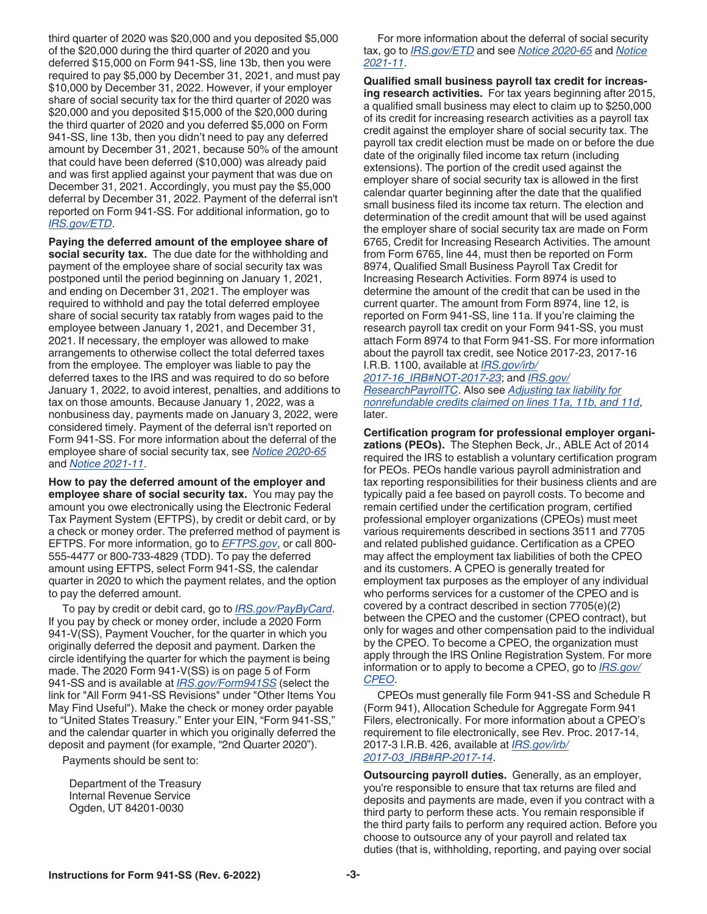**Instructions for Form 941-SS (Rev. 6-2022) -3-**

<span id="page-2-0"></span>third quarter of 2020 was \$20,000 and you deposited \$5,000 of the \$20,000 during the third quarter of 2020 and you deferred \$15,000 on Form 941-SS, line 13b, then you were required to pay \$5,000 by December 31, 2021, and must pay \$10,000 by December 31, 2022. However, if your employer share of social security tax for the third quarter of 2020 was \$20,000 and you deposited \$15,000 of the \$20,000 during the third quarter of 2020 and you deferred \$5,000 on Form 941-SS, line 13b, then you didn't need to pay any deferred amount by December 31, 2021, because 50% of the amount that could have been deferred (\$10,000) was already paid and was first applied against your payment that was due on December 31, 2021. Accordingly, you must pay the \$5,000 deferral by December 31, 2022. Payment of the deferral isn't reported on Form 941-SS. For additional information, go to *[IRS.gov/ETD](https://www.irs.gov/etd)*.

**Paying the deferred amount of the employee share of social security tax.** The due date for the withholding and payment of the employee share of social security tax was postponed until the period beginning on January 1, 2021, and ending on December 31, 2021. The employer was required to withhold and pay the total deferred employee share of social security tax ratably from wages paid to the employee between January 1, 2021, and December 31, 2021. If necessary, the employer was allowed to make arrangements to otherwise collect the total deferred taxes from the employee. The employer was liable to pay the deferred taxes to the IRS and was required to do so before January 1, 2022, to avoid interest, penalties, and additions to tax on those amounts. Because January 1, 2022, was a nonbusiness day, payments made on January 3, 2022, were considered timely. Payment of the deferral isn't reported on Form 941-SS. For more information about the deferral of the employee share of social security tax, see *[Notice 2020-65](https://www.irs.gov/irb/2020-38_IRB#NOT-2020-65)*  and *[Notice 2021-11](https://www.irs.gov/irb/2021-06_IRB#NOT-2021-11)*.

**How to pay the deferred amount of the employer and employee share of social security tax.** You may pay the amount you owe electronically using the Electronic Federal Tax Payment System (EFTPS), by credit or debit card, or by a check or money order. The preferred method of payment is EFTPS. For more information, go to *[EFTPS.gov](https://www.eftps.gov)*, or call 800- 555-4477 or 800-733-4829 (TDD). To pay the deferred amount using EFTPS, select Form 941-SS, the calendar quarter in 2020 to which the payment relates, and the option to pay the deferred amount.

To pay by credit or debit card, go to *[IRS.gov/PayByCard](https://www.irs.gov/paybycard)*. If you pay by check or money order, include a 2020 Form 941-V(SS), Payment Voucher, for the quarter in which you originally deferred the deposit and payment. Darken the circle identifying the quarter for which the payment is being made. The 2020 Form 941-V(SS) is on page 5 of Form 941-SS and is available at *[IRS.gov/Form941SS](https://www.irs.gov/form941ss)* (select the link for "All Form 941-SS Revisions" under "Other Items You May Find Useful"). Make the check or money order payable to "United States Treasury." Enter your EIN, "Form 941-SS," and the calendar quarter in which you originally deferred the deposit and payment (for example, "2nd Quarter 2020").

Payments should be sent to:

Department of the Treasury Internal Revenue Service Ogden, UT 84201-0030

#### For more information about the deferral of social security tax, go to *[IRS.gov/ETD](https://www.irs.gov/etd)* and see *[Notice 2020-65](https://www.irs.gov/irb/2020-38_IRB#NOT-2020-65)* and *[Notice](https://www.irs.gov/irb/2021-06_IRB#NOT-2021-11)  [2021-11](https://www.irs.gov/irb/2021-06_IRB#NOT-2021-11)*.

**Qualified small business payroll tax credit for increasing research activities.** For tax years beginning after 2015, a qualified small business may elect to claim up to \$250,000 of its credit for increasing research activities as a payroll tax credit against the employer share of social security tax. The payroll tax credit election must be made on or before the due date of the originally filed income tax return (including extensions). The portion of the credit used against the employer share of social security tax is allowed in the first calendar quarter beginning after the date that the qualified small business filed its income tax return. The election and determination of the credit amount that will be used against the employer share of social security tax are made on Form 6765, Credit for Increasing Research Activities. The amount from Form 6765, line 44, must then be reported on Form 8974, Qualified Small Business Payroll Tax Credit for Increasing Research Activities. Form 8974 is used to determine the amount of the credit that can be used in the current quarter. The amount from Form 8974, line 12, is reported on Form 941-SS, line 11a. If you're claiming the research payroll tax credit on your Form 941-SS, you must attach Form 8974 to that Form 941-SS. For more information about the payroll tax credit, see Notice 2017-23, 2017-16 I.R.B. 1100, available at *[IRS.gov/irb/](https://www.irs.gov/irb/2017-16_IRB#NOT-2017-23)*

*[2017-16\\_IRB#NOT-2017-23](https://www.irs.gov/irb/2017-16_IRB#NOT-2017-23)*; and *[IRS.gov/](https://www.irs.gov/researchpayrolltc) [ResearchPayrollTC](https://www.irs.gov/researchpayrolltc)*. Also see *[Adjusting tax liability for](#page-16-0) [nonrefundable credits claimed on lines 11a, 11b, and 11d](#page-16-0)*, later.

**Certification program for professional employer organizations (PEOs).** The Stephen Beck, Jr., ABLE Act of 2014 required the IRS to establish a voluntary certification program for PEOs. PEOs handle various payroll administration and tax reporting responsibilities for their business clients and are typically paid a fee based on payroll costs. To become and remain certified under the certification program, certified professional employer organizations (CPEOs) must meet various requirements described in sections 3511 and 7705 and related published guidance. Certification as a CPEO may affect the employment tax liabilities of both the CPEO and its customers. A CPEO is generally treated for employment tax purposes as the employer of any individual who performs services for a customer of the CPEO and is covered by a contract described in section 7705(e)(2) between the CPEO and the customer (CPEO contract), but only for wages and other compensation paid to the individual by the CPEO. To become a CPEO, the organization must apply through the IRS Online Registration System. For more information or to apply to become a CPEO, go to *[IRS.gov/](https://www.irs.gov/cpeo) [CPEO](https://www.irs.gov/cpeo)*.

CPEOs must generally file Form 941-SS and Schedule R (Form 941), Allocation Schedule for Aggregate Form 941 Filers, electronically. For more information about a CPEO's requirement to file electronically, see Rev. Proc. 2017-14, 2017-3 I.R.B. 426, available at *[IRS.gov/irb/](https://www.irs.gov/irb/2017-03_IRB#RP-2017-14) [2017-03\\_IRB#RP-2017-14](https://www.irs.gov/irb/2017-03_IRB#RP-2017-14)*.

**Outsourcing payroll duties.** Generally, as an employer, you're responsible to ensure that tax returns are filed and deposits and payments are made, even if you contract with a third party to perform these acts. You remain responsible if the third party fails to perform any required action. Before you choose to outsource any of your payroll and related tax duties (that is, withholding, reporting, and paying over social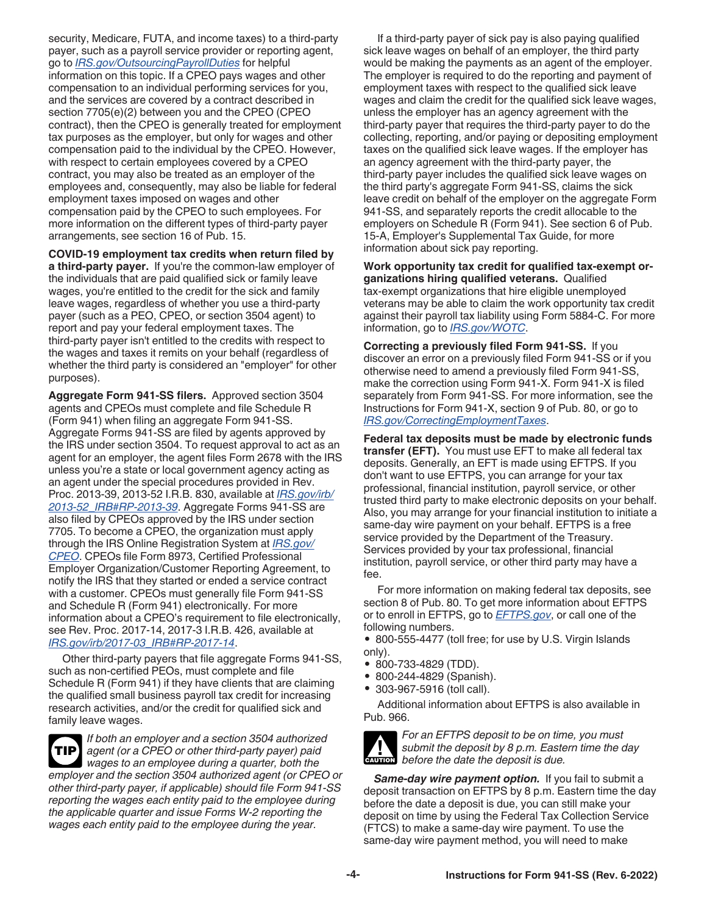<span id="page-3-0"></span>security, Medicare, FUTA, and income taxes) to a third-party payer, such as a payroll service provider or reporting agent, go to *[IRS.gov/OutsourcingPayrollDuties](https://www.irs.gov/outsourcingpayrollduties)* for helpful information on this topic. If a CPEO pays wages and other compensation to an individual performing services for you, and the services are covered by a contract described in section 7705(e)(2) between you and the CPEO (CPEO contract), then the CPEO is generally treated for employment tax purposes as the employer, but only for wages and other compensation paid to the individual by the CPEO. However, with respect to certain employees covered by a CPEO contract, you may also be treated as an employer of the employees and, consequently, may also be liable for federal employment taxes imposed on wages and other compensation paid by the CPEO to such employees. For more information on the different types of third-party payer arrangements, see section 16 of Pub. 15.

**COVID-19 employment tax credits when return filed by a third-party payer.** If you're the common-law employer of the individuals that are paid qualified sick or family leave wages, you're entitled to the credit for the sick and family leave wages, regardless of whether you use a third-party payer (such as a PEO, CPEO, or section 3504 agent) to report and pay your federal employment taxes. The third-party payer isn't entitled to the credits with respect to the wages and taxes it remits on your behalf (regardless of whether the third party is considered an "employer" for other purposes).

**Aggregate Form 941-SS filers.** Approved section 3504 agents and CPEOs must complete and file Schedule R (Form 941) when filing an aggregate Form 941-SS. Aggregate Forms 941-SS are filed by agents approved by the IRS under section 3504. To request approval to act as an agent for an employer, the agent files Form 2678 with the IRS unless you're a state or local government agency acting as an agent under the special procedures provided in Rev. Proc. 2013-39, 2013-52 I.R.B. 830, available at *[IRS.gov/irb/](https://www.irs.gov/irb/2013-52_IRB#RP-2013-39) [2013-52\\_IRB#RP-2013-39](https://www.irs.gov/irb/2013-52_IRB#RP-2013-39)*. Aggregate Forms 941-SS are also filed by CPEOs approved by the IRS under section 7705. To become a CPEO, the organization must apply through the IRS Online Registration System at *[IRS.gov/](https://www.irs.gov/cpeo) [CPEO](https://www.irs.gov/cpeo)*. CPEOs file Form 8973, Certified Professional Employer Organization/Customer Reporting Agreement, to notify the IRS that they started or ended a service contract with a customer. CPEOs must generally file Form 941-SS and Schedule R (Form 941) electronically. For more information about a CPEO's requirement to file electronically, see Rev. Proc. 2017-14, 2017-3 I.R.B. 426, available at *[IRS.gov/irb/2017-03\\_IRB#RP-2017-14](https://www.irs.gov/irb/2017-03_IRB#RP-2017-14)*.

Other third-party payers that file aggregate Forms 941-SS, such as non-certified PEOs, must complete and file Schedule R (Form 941) if they have clients that are claiming the qualified small business payroll tax credit for increasing research activities, and/or the credit for qualified sick and family leave wages.

*If both an employer and a section 3504 authorized agent (or a CPEO or other third-party payer) paid wages to an employee during a quarter, both the employer and the section 3504 authorized agent (or CPEO or other third-party payer, if applicable) should file Form 941-SS reporting the wages each entity paid to the employee during the applicable quarter and issue Forms W-2 reporting the wages each entity paid to the employee during the year.* **TIP**

If a third-party payer of sick pay is also paying qualified sick leave wages on behalf of an employer, the third party would be making the payments as an agent of the employer. The employer is required to do the reporting and payment of employment taxes with respect to the qualified sick leave wages and claim the credit for the qualified sick leave wages, unless the employer has an agency agreement with the third-party payer that requires the third-party payer to do the collecting, reporting, and/or paying or depositing employment taxes on the qualified sick leave wages. If the employer has an agency agreement with the third-party payer, the third-party payer includes the qualified sick leave wages on the third party's aggregate Form 941-SS, claims the sick leave credit on behalf of the employer on the aggregate Form 941-SS, and separately reports the credit allocable to the employers on Schedule R (Form 941). See section 6 of Pub. 15-A, Employer's Supplemental Tax Guide, for more information about sick pay reporting.

**Work opportunity tax credit for qualified tax-exempt organizations hiring qualified veterans.** Qualified tax-exempt organizations that hire eligible unemployed veterans may be able to claim the work opportunity tax credit against their payroll tax liability using Form 5884-C. For more information, go to *[IRS.gov/WOTC](https://www.irs.gov/wotc)*.

**Correcting a previously filed Form 941-SS.** If you discover an error on a previously filed Form 941-SS or if you otherwise need to amend a previously filed Form 941-SS, make the correction using Form 941-X. Form 941-X is filed separately from Form 941-SS. For more information, see the Instructions for Form 941-X, section 9 of Pub. 80, or go to *[IRS.gov/CorrectingEmploymentTaxes](https://www.irs.gov/correctingemploymenttaxes)*.

**Federal tax deposits must be made by electronic funds transfer (EFT).** You must use EFT to make all federal tax deposits. Generally, an EFT is made using EFTPS. If you don't want to use EFTPS, you can arrange for your tax professional, financial institution, payroll service, or other trusted third party to make electronic deposits on your behalf. Also, you may arrange for your financial institution to initiate a same-day wire payment on your behalf. EFTPS is a free service provided by the Department of the Treasury. Services provided by your tax professional, financial institution, payroll service, or other third party may have a fee.

For more information on making federal tax deposits, see section 8 of Pub. 80. To get more information about EFTPS or to enroll in EFTPS, go to *[EFTPS.gov](https://www.eftps.gov)*, or call one of the following numbers.

• 800-555-4477 (toll free; for use by U.S. Virgin Islands only).

- 800-733-4829 (TDD).
- 800-244-4829 (Spanish).
- 303-967-5916 (toll call).

Additional information about EFTPS is also available in Pub. 966.



*For an EFTPS deposit to be on time, you must submit the deposit by 8 p.m. Eastern time the day*  **c** submit the deposit by 8 p.m. Easte<br> **CAUTION** before the date the deposit is due.

Same-day wire payment option. If you fail to submit a deposit transaction on EFTPS by 8 p.m. Eastern time the day before the date a deposit is due, you can still make your deposit on time by using the Federal Tax Collection Service (FTCS) to make a same-day wire payment. To use the same-day wire payment method, you will need to make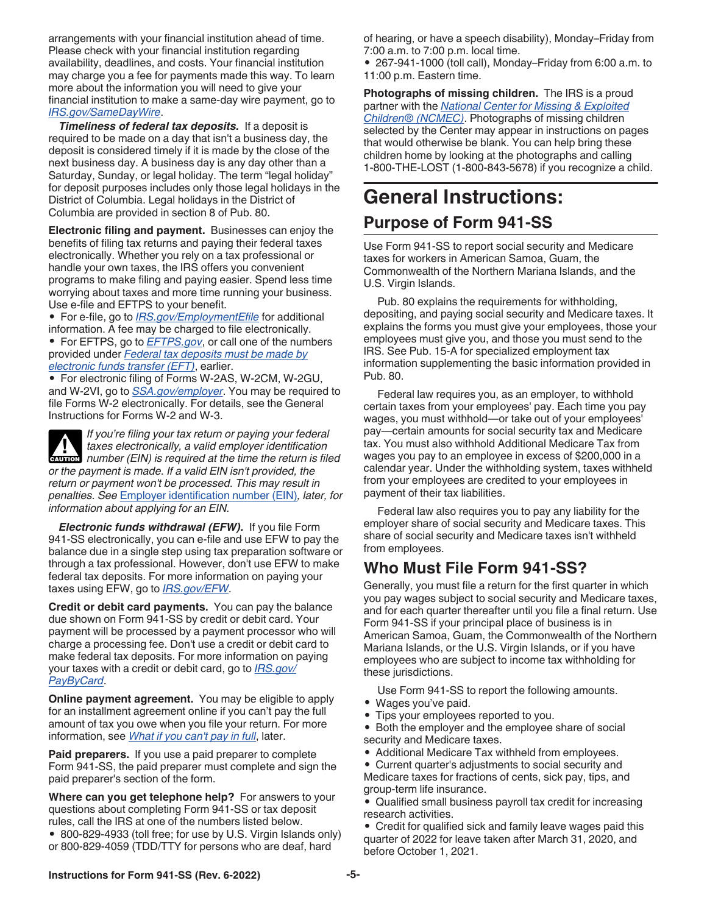<span id="page-4-0"></span>arrangements with your financial institution ahead of time. Please check with your financial institution regarding availability, deadlines, and costs. Your financial institution may charge you a fee for payments made this way. To learn more about the information you will need to give your financial institution to make a same-day wire payment, go to *[IRS.gov/SameDayWire](https://www.irs.gov/samedaywire)*.

*Timeliness of federal tax deposits.* If a deposit is required to be made on a day that isn't a business day, the deposit is considered timely if it is made by the close of the next business day. A business day is any day other than a Saturday, Sunday, or legal holiday. The term "legal holiday" for deposit purposes includes only those legal holidays in the District of Columbia. Legal holidays in the District of Columbia are provided in section 8 of Pub. 80.

**Electronic filing and payment.** Businesses can enjoy the benefits of filing tax returns and paying their federal taxes electronically. Whether you rely on a tax professional or handle your own taxes, the IRS offers you convenient programs to make filing and paying easier. Spend less time worrying about taxes and more time running your business. Use e-file and EFTPS to your benefit.

• For e-file, go to *[IRS.gov/EmploymentEfile](https://www.irs.gov/employmentefile)* for additional information. A fee may be charged to file electronically.

• For EFTPS, go to *[EFTPS.gov](https://www.eftps.gov)*, or call one of the numbers provided under *[Federal tax deposits must be made by](#page-3-0)  [electronic funds transfer \(EFT\)](#page-3-0)*, earlier.

• For electronic filing of Forms W-2AS, W-2CM, W-2GU, and W-2VI, go to *[SSA.gov/employer](https://www.ssa.gov/employer)*. You may be required to file Forms W-2 electronically. For details, see the General Instructions for Forms W-2 and W-3.

*If you're filing your tax return or paying your federal taxes electronically, a valid employer identification*  **z** taxes electronically, a valid employer identification number (EIN) is required at the time the return is filed *or the payment is made. If a valid EIN isn't provided, the return or payment won't be processed. This may result in penalties. See* [Employer identification number \(EIN\)](#page-6-0)*, later, for information about applying for an EIN.*

*Electronic funds withdrawal (EFW).* If you file Form 941-SS electronically, you can e-file and use EFW to pay the balance due in a single step using tax preparation software or through a tax professional. However, don't use EFW to make federal tax deposits. For more information on paying your taxes using EFW, go to *[IRS.gov/EFW](https://www.irs.gov/efw)*.

**Credit or debit card payments.** You can pay the balance due shown on Form 941-SS by credit or debit card. Your payment will be processed by a payment processor who will charge a processing fee. Don't use a credit or debit card to make federal tax deposits. For more information on paying your taxes with a credit or debit card, go to *[IRS.gov/](https://www.irs.gov/paybycard) [PayByCard](https://www.irs.gov/paybycard)*.

**Online payment agreement.** You may be eligible to apply for an installment agreement online if you can't pay the full amount of tax you owe when you file your return. For more information, see *[What if you can't pay in full](#page-16-0)*, later.

**Paid preparers.** If you use a paid preparer to complete Form 941-SS, the paid preparer must complete and sign the paid preparer's section of the form.

**Where can you get telephone help?** For answers to your questions about completing Form 941-SS or tax deposit rules, call the IRS at one of the numbers listed below. • 800-829-4933 (toll free; for use by U.S. Virgin Islands only) or 800-829-4059 (TDD/TTY for persons who are deaf, hard

of hearing, or have a speech disability), Monday–Friday from 7:00 a.m. to 7:00 p.m. local time.

• 267-941-1000 (toll call), Monday–Friday from 6:00 a.m. to 11:00 p.m. Eastern time.

**Photographs of missing children.** The IRS is a proud partner with the *[National Center for Missing & Exploited](http://www.missingkids.org) [Children® \(NCMEC\)](http://www.missingkids.org)*. Photographs of missing children selected by the Center may appear in instructions on pages that would otherwise be blank. You can help bring these children home by looking at the photographs and calling 1-800-THE-LOST (1-800-843-5678) if you recognize a child.

# **General Instructions:**

## **Purpose of Form 941-SS**

Use Form 941-SS to report social security and Medicare taxes for workers in American Samoa, Guam, the Commonwealth of the Northern Mariana Islands, and the U.S. Virgin Islands.

Pub. 80 explains the requirements for withholding, depositing, and paying social security and Medicare taxes. It explains the forms you must give your employees, those your employees must give you, and those you must send to the IRS. See Pub. 15-A for specialized employment tax information supplementing the basic information provided in Pub. 80.

Federal law requires you, as an employer, to withhold certain taxes from your employees' pay. Each time you pay wages, you must withhold—or take out of your employees' pay—certain amounts for social security tax and Medicare tax. You must also withhold Additional Medicare Tax from wages you pay to an employee in excess of \$200,000 in a calendar year. Under the withholding system, taxes withheld from your employees are credited to your employees in payment of their tax liabilities.

Federal law also requires you to pay any liability for the employer share of social security and Medicare taxes. This share of social security and Medicare taxes isn't withheld from employees.

# **Who Must File Form 941-SS?**

Generally, you must file a return for the first quarter in which you pay wages subject to social security and Medicare taxes, and for each quarter thereafter until you file a final return. Use Form 941-SS if your principal place of business is in American Samoa, Guam, the Commonwealth of the Northern Mariana Islands, or the U.S. Virgin Islands, or if you have employees who are subject to income tax withholding for these jurisdictions.

Use Form 941-SS to report the following amounts.

- Wages you've paid.
- Tips your employees reported to you.

• Both the employer and the employee share of social security and Medicare taxes.

- Additional Medicare Tax withheld from employees.
- Current quarter's adjustments to social security and Medicare taxes for fractions of cents, sick pay, tips, and group-term life insurance.

• Qualified small business payroll tax credit for increasing research activities.

• Credit for qualified sick and family leave wages paid this quarter of 2022 for leave taken after March 31, 2020, and before October 1, 2021.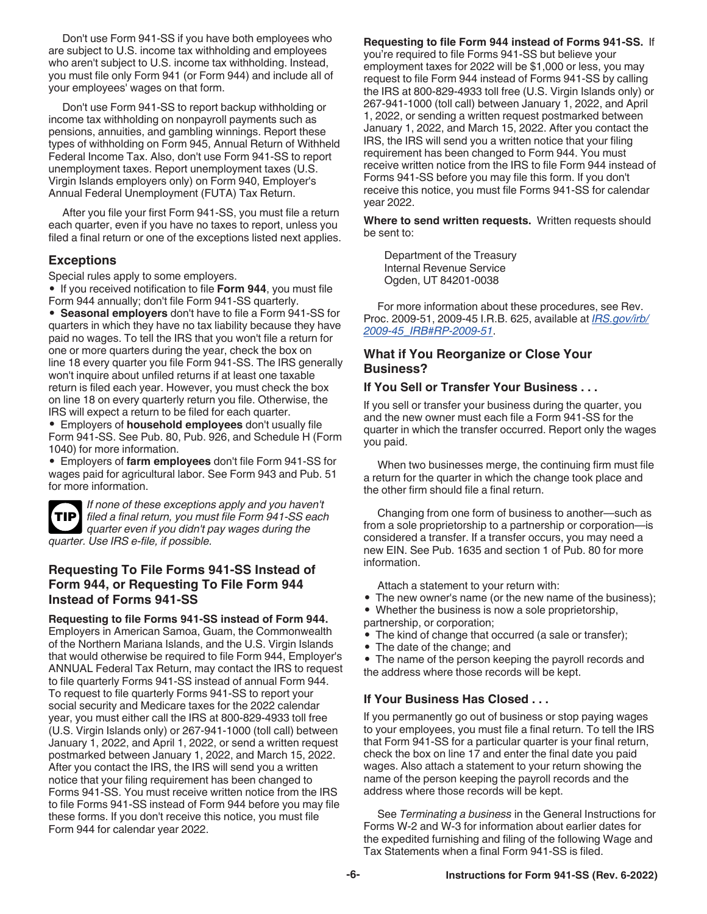<span id="page-5-0"></span>Don't use Form 941-SS if you have both employees who are subject to U.S. income tax withholding and employees who aren't subject to U.S. income tax withholding. Instead, you must file only Form 941 (or Form 944) and include all of your employees' wages on that form.

Don't use Form 941-SS to report backup withholding or income tax withholding on nonpayroll payments such as pensions, annuities, and gambling winnings. Report these types of withholding on Form 945, Annual Return of Withheld Federal Income Tax. Also, don't use Form 941-SS to report unemployment taxes. Report unemployment taxes (U.S. Virgin Islands employers only) on Form 940, Employer's Annual Federal Unemployment (FUTA) Tax Return.

After you file your first Form 941-SS, you must file a return each quarter, even if you have no taxes to report, unless you filed a final return or one of the exceptions listed next applies.

#### **Exceptions**

Special rules apply to some employers.

• If you received notification to file **Form 944**, you must file Form 944 annually; don't file Form 941-SS quarterly.

• **Seasonal employers** don't have to file a Form 941-SS for quarters in which they have no tax liability because they have paid no wages. To tell the IRS that you won't file a return for one or more quarters during the year, check the box on line 18 every quarter you file Form 941-SS. The IRS generally won't inquire about unfiled returns if at least one taxable return is filed each year. However, you must check the box on line 18 on every quarterly return you file. Otherwise, the IRS will expect a return to be filed for each quarter.

• Employers of **household employees** don't usually file Form 941-SS. See Pub. 80, Pub. 926, and Schedule H (Form 1040) for more information.

• Employers of **farm employees** don't file Form 941-SS for wages paid for agricultural labor. See Form 943 and Pub. 51 for more information.



*If none of these exceptions apply and you haven't filed a final return, you must file Form 941-SS each quarter even if you didn't pay wages during the quarter. Use IRS e-file, if possible.*

#### **Requesting To File Forms 941-SS Instead of Form 944, or Requesting To File Form 944 Instead of Forms 941-SS**

#### **Requesting to file Forms 941-SS instead of Form 944.**

Employers in American Samoa, Guam, the Commonwealth of the Northern Mariana Islands, and the U.S. Virgin Islands that would otherwise be required to file Form 944, Employer's ANNUAL Federal Tax Return, may contact the IRS to request to file quarterly Forms 941-SS instead of annual Form 944. To request to file quarterly Forms 941-SS to report your social security and Medicare taxes for the 2022 calendar year, you must either call the IRS at 800-829-4933 toll free (U.S. Virgin Islands only) or 267-941-1000 (toll call) between January 1, 2022, and April 1, 2022, or send a written request postmarked between January 1, 2022, and March 15, 2022. After you contact the IRS, the IRS will send you a written notice that your filing requirement has been changed to Forms 941-SS. You must receive written notice from the IRS to file Forms 941-SS instead of Form 944 before you may file these forms. If you don't receive this notice, you must file Form 944 for calendar year 2022.

**Requesting to file Form 944 instead of Forms 941-SS.** If you're required to file Forms 941-SS but believe your employment taxes for 2022 will be \$1,000 or less, you may request to file Form 944 instead of Forms 941-SS by calling the IRS at 800-829-4933 toll free (U.S. Virgin Islands only) or 267-941-1000 (toll call) between January 1, 2022, and April 1, 2022, or sending a written request postmarked between January 1, 2022, and March 15, 2022. After you contact the IRS, the IRS will send you a written notice that your filing requirement has been changed to Form 944. You must receive written notice from the IRS to file Form 944 instead of Forms 941-SS before you may file this form. If you don't receive this notice, you must file Forms 941-SS for calendar year 2022.

**Where to send written requests.** Written requests should be sent to:

Department of the Treasury Internal Revenue Service Ogden, UT 84201-0038

For more information about these procedures, see Rev. Proc. 2009-51, 2009-45 I.R.B. 625, available at *[IRS.gov/irb/](https://www.irs.gov/irb/2009-45_IRB#RP-2009-51) [2009-45\\_IRB#RP-2009-51](https://www.irs.gov/irb/2009-45_IRB#RP-2009-51)*.

#### **What if You Reorganize or Close Your Business?**

#### **If You Sell or Transfer Your Business . . .**

If you sell or transfer your business during the quarter, you and the new owner must each file a Form 941-SS for the quarter in which the transfer occurred. Report only the wages you paid.

When two businesses merge, the continuing firm must file a return for the quarter in which the change took place and the other firm should file a final return.

Changing from one form of business to another—such as from a sole proprietorship to a partnership or corporation—is considered a transfer. If a transfer occurs, you may need a new EIN. See Pub. 1635 and section 1 of Pub. 80 for more information.

Attach a statement to your return with:

- The new owner's name (or the new name of the business);
- Whether the business is now a sole proprietorship,
- partnership, or corporation;
- The kind of change that occurred (a sale or transfer);
- The date of the change; and

• The name of the person keeping the payroll records and the address where those records will be kept.

#### **If Your Business Has Closed . . .**

If you permanently go out of business or stop paying wages to your employees, you must file a final return. To tell the IRS that Form 941-SS for a particular quarter is your final return, check the box on line 17 and enter the final date you paid wages. Also attach a statement to your return showing the name of the person keeping the payroll records and the address where those records will be kept.

See *Terminating a business* in the General Instructions for Forms W-2 and W-3 for information about earlier dates for the expedited furnishing and filing of the following Wage and Tax Statements when a final Form 941-SS is filed.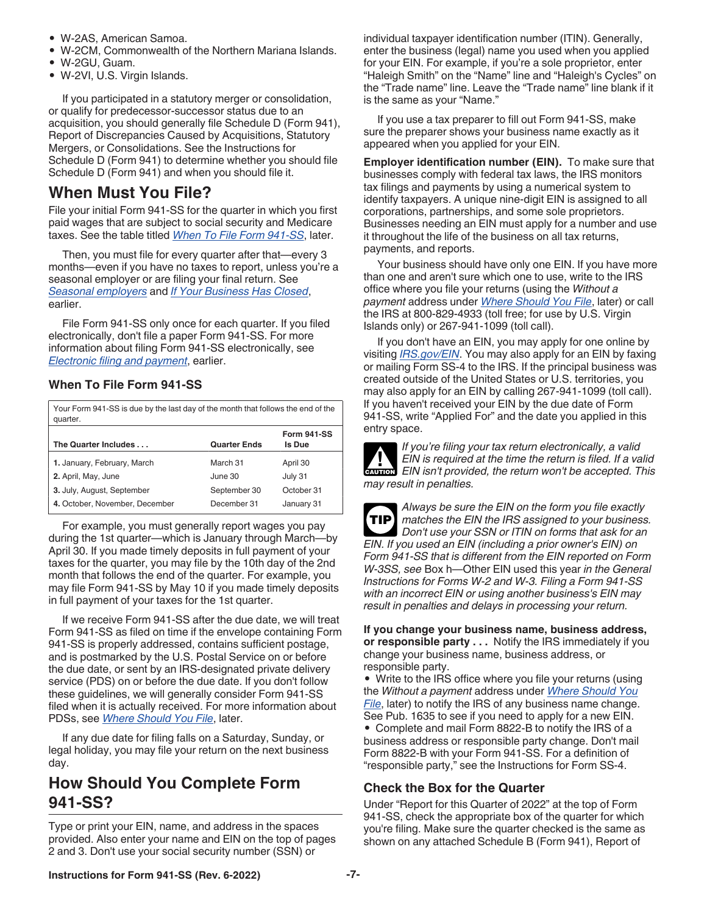- <span id="page-6-0"></span>• W-2AS, American Samoa.
- W-2CM, Commonwealth of the Northern Mariana Islands.
- W-2GU, Guam.
- W-2VI, U.S. Virgin Islands.

If you participated in a statutory merger or consolidation, or qualify for predecessor-successor status due to an acquisition, you should generally file Schedule D (Form 941), Report of Discrepancies Caused by Acquisitions, Statutory Mergers, or Consolidations. See the Instructions for Schedule D (Form 941) to determine whether you should file Schedule D (Form 941) and when you should file it.

## **When Must You File?**

File your initial Form 941-SS for the quarter in which you first paid wages that are subject to social security and Medicare taxes. See the table titled *When To File Form 941-SS*, later.

Then, you must file for every quarter after that—every 3 months—even if you have no taxes to report, unless you're a seasonal employer or are filing your final return. See *[Seasonal employers](#page-5-0)* and *[If Your Business Has Closed](#page-5-0)*, earlier.

File Form 941-SS only once for each quarter. If you filed electronically, don't file a paper Form 941-SS. For more information about filing Form 941-SS electronically, see *[Electronic filing and payment](#page-4-0)*, earlier.

## **When To File Form 941-SS**

| Your Form 941-SS is due by the last day of the month that follows the end of the<br>quarter. |                     |                              |  |  |  |
|----------------------------------------------------------------------------------------------|---------------------|------------------------------|--|--|--|
| The Quarter Includes                                                                         | <b>Quarter Ends</b> | <b>Form 941-SS</b><br>Is Due |  |  |  |
| 1. January, February, March                                                                  | March 31            | April 30                     |  |  |  |
| 2. April, May, June                                                                          | June 30             | July 31                      |  |  |  |
| 3. July, August, September                                                                   | September 30        | October 31                   |  |  |  |
| 4. October, November, December                                                               | December 31         | January 31                   |  |  |  |

For example, you must generally report wages you pay during the 1st quarter—which is January through March—by April 30. If you made timely deposits in full payment of your taxes for the quarter, you may file by the 10th day of the 2nd month that follows the end of the quarter. For example, you may file Form 941-SS by May 10 if you made timely deposits in full payment of your taxes for the 1st quarter.

If we receive Form 941-SS after the due date, we will treat Form 941-SS as filed on time if the envelope containing Form 941-SS is properly addressed, contains sufficient postage, and is postmarked by the U.S. Postal Service on or before the due date, or sent by an IRS-designated private delivery service (PDS) on or before the due date. If you don't follow these guidelines, we will generally consider Form 941-SS filed when it is actually received. For more information about PDSs, see *[Where Should You File](#page-7-0)*, later.

If any due date for filing falls on a Saturday, Sunday, or legal holiday, you may file your return on the next business day.

## **How Should You Complete Form 941-SS?**

Type or print your EIN, name, and address in the spaces provided. Also enter your name and EIN on the top of pages 2 and 3. Don't use your social security number (SSN) or

individual taxpayer identification number (ITIN). Generally, enter the business (legal) name you used when you applied for your EIN. For example, if you're a sole proprietor, enter "Haleigh Smith" on the "Name" line and "Haleigh's Cycles" on the "Trade name" line. Leave the "Trade name" line blank if it is the same as your "Name."

If you use a tax preparer to fill out Form 941-SS, make sure the preparer shows your business name exactly as it appeared when you applied for your EIN.

**Employer identification number (EIN).** To make sure that businesses comply with federal tax laws, the IRS monitors tax filings and payments by using a numerical system to identify taxpayers. A unique nine-digit EIN is assigned to all corporations, partnerships, and some sole proprietors. Businesses needing an EIN must apply for a number and use it throughout the life of the business on all tax returns, payments, and reports.

Your business should have only one EIN. If you have more than one and aren't sure which one to use, write to the IRS office where you file your returns (using the *Without a payment* address under *[Where Should You File](#page-7-0)*, later) or call the IRS at 800-829-4933 (toll free; for use by U.S. Virgin Islands only) or 267-941-1099 (toll call).

If you don't have an EIN, you may apply for one online by visiting *[IRS.gov/EIN](https://www.irs.gov/ein)*. You may also apply for an EIN by faxing or mailing Form SS-4 to the IRS. If the principal business was created outside of the United States or U.S. territories, you may also apply for an EIN by calling 267-941-1099 (toll call). If you haven't received your EIN by the due date of Form 941-SS, write "Applied For" and the date you applied in this entry space.



*If you're filing your tax return electronically, a valid EIN is required at the time the return is filed. If a valid*  **EXUTION** EIN isn't provided, the return won't be accepted. This *may result in penalties.*

*Always be sure the EIN on the form you file exactly matches the EIN the IRS assigned to your business. Don't use your SSN or ITIN on forms that ask for an EIN. If you used an EIN (including a prior owner's EIN) on Form 941-SS that is different from the EIN reported on Form W-3SS, see* Box h—Other EIN used this year *in the General Instructions for Forms W-2 and W-3. Filing a Form 941-SS with an incorrect EIN or using another business's EIN may result in penalties and delays in processing your return.* **TIP**

**If you change your business name, business address, or responsible party . . .** Notify the IRS immediately if you change your business name, business address, or responsible party.

• Write to the IRS office where you file your returns (using the *Without a payment* address under *[Where Should You](#page-7-0)  [File](#page-7-0)*, later) to notify the IRS of any business name change. See Pub. 1635 to see if you need to apply for a new EIN. • Complete and mail Form 8822-B to notify the IRS of a business address or responsible party change. Don't mail Form 8822-B with your Form 941-SS. For a definition of "responsible party," see the Instructions for Form SS-4.

#### **Check the Box for the Quarter**

Under "Report for this Quarter of 2022" at the top of Form 941-SS, check the appropriate box of the quarter for which you're filing. Make sure the quarter checked is the same as shown on any attached Schedule B (Form 941), Report of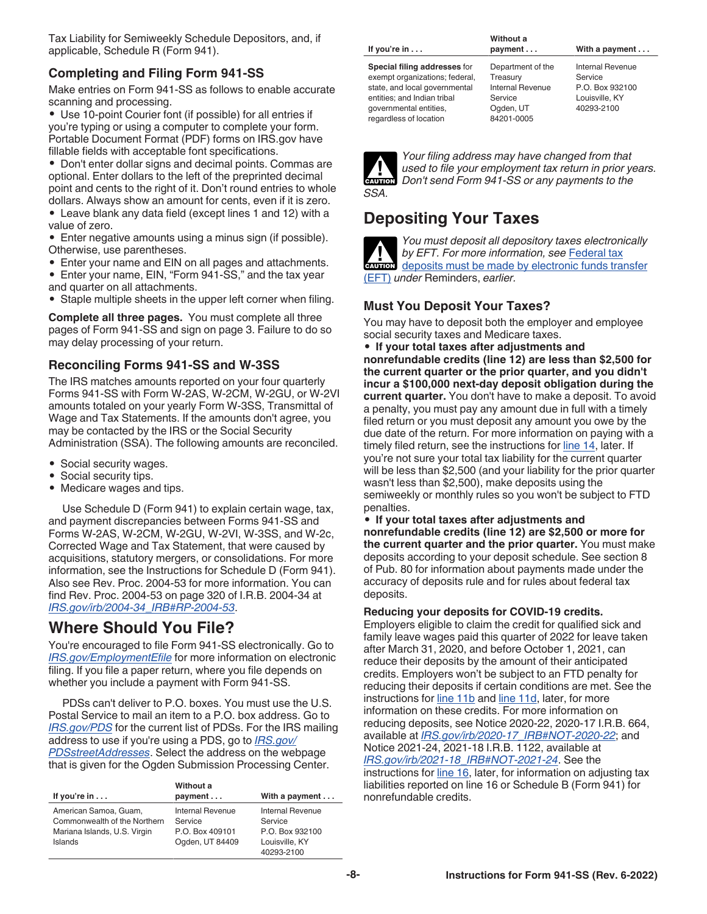<span id="page-7-0"></span>Tax Liability for Semiweekly Schedule Depositors, and, if applicable, Schedule R (Form 941).

## **Completing and Filing Form 941-SS**

Make entries on Form 941-SS as follows to enable accurate scanning and processing.

• Use 10-point Courier font (if possible) for all entries if you're typing or using a computer to complete your form. Portable Document Format (PDF) forms on IRS.gov have fillable fields with acceptable font specifications.

• Don't enter dollar signs and decimal points. Commas are optional. Enter dollars to the left of the preprinted decimal point and cents to the right of it. Don't round entries to whole dollars. Always show an amount for cents, even if it is zero.

• Leave blank any data field (except lines 1 and 12) with a value of zero.

• Enter negative amounts using a minus sign (if possible). Otherwise, use parentheses.

- Enter your name and EIN on all pages and attachments.
- Enter your name, EIN, "Form 941-SS," and the tax year and quarter on all attachments.

• Staple multiple sheets in the upper left corner when filing.

**Complete all three pages.** You must complete all three pages of Form 941-SS and sign on page 3. Failure to do so may delay processing of your return.

#### **Reconciling Forms 941-SS and W-3SS**

The IRS matches amounts reported on your four quarterly Forms 941-SS with Form W-2AS, W-2CM, W-2GU, or W-2VI amounts totaled on your yearly Form W-3SS, Transmittal of Wage and Tax Statements. If the amounts don't agree, you may be contacted by the IRS or the Social Security Administration (SSA). The following amounts are reconciled.

- Social security wages.
- Social security tips.
- Medicare wages and tips.

Use Schedule D (Form 941) to explain certain wage, tax, and payment discrepancies between Forms 941-SS and Forms W-2AS, W-2CM, W-2GU, W-2VI, W-3SS, and W-2c, Corrected Wage and Tax Statement, that were caused by acquisitions, statutory mergers, or consolidations. For more information, see the Instructions for Schedule D (Form 941). Also see Rev. Proc. 2004-53 for more information. You can find Rev. Proc. 2004-53 on page 320 of I.R.B. 2004-34 at *[IRS.gov/irb/2004-34\\_IRB#RP-2004-53](https://www.irs.gov/irb/2004-34_IRB#RP-2004-53)*.

## **Where Should You File?**

You're encouraged to file Form 941-SS electronically. Go to *[IRS.gov/EmploymentEfile](https://www.irs.gov/employmentefile)* for more information on electronic filing. If you file a paper return, where you file depends on whether you include a payment with Form 941-SS.

PDSs can't deliver to P.O. boxes. You must use the U.S. Postal Service to mail an item to a P.O. box address. Go to *[IRS.gov/PDS](https://www.irs.gov/pds)* for the current list of PDSs. For the IRS mailing address to use if you're using a PDS, go to *[IRS.gov/](https://www.irs.gov/pdsstreetaddresses) [PDSstreetAddresses](https://www.irs.gov/pdsstreetaddresses)*. Select the address on the webpage that is given for the Ogden Submission Processing Center.

|                              | Without a        |                        |
|------------------------------|------------------|------------------------|
| If you're $in \ldots$        | payment          | With a payment $\dots$ |
| American Samoa, Guam,        | Internal Revenue | Internal Revenue       |
| Commonwealth of the Northern | Service          | Service                |
| Mariana Islands, U.S. Virgin | P.O. Box 409101  | P.O. Box 932100        |
| Islands                      | Ogden, UT 84409  | Louisville, KY         |
|                              |                  | 40293-2100             |

|                                | Without a               |                         |  |  |
|--------------------------------|-------------------------|-------------------------|--|--|
| If you're $in \ldots$          | payment                 | With a payment $\dots$  |  |  |
| Special filing addresses for   | Department of the       | <b>Internal Revenue</b> |  |  |
| exempt organizations; federal, | Treasury                | Service                 |  |  |
| state, and local governmental  | <b>Internal Revenue</b> | P.O. Box 932100         |  |  |
| entities; and Indian tribal    | Service                 | Louisville, KY          |  |  |
| governmental entities.         | Ogden, UT               | 40293-2100              |  |  |
| regardless of location         | 84201-0005              |                         |  |  |



*Your filing address may have changed from that used to file your employment tax return in prior years.*  **Don't send Form 941-SS or any payments to the** 

## **Depositing Your Taxes**



*You must deposit all depository taxes electronically by EFT. For more information, see* [Federal tax](#page-3-0)  by EFT. For more information, see Federal tax<br>deposits must be made by electronic funds transfer [\(EFT\)](#page-3-0) *under* Reminders, *earlier.*

**Must You Deposit Your Taxes?**

You may have to deposit both the employer and employee social security taxes and Medicare taxes.

• **If your total taxes after adjustments and nonrefundable credits (line 12) are less than \$2,500 for the current quarter or the prior quarter, and you didn't incur a \$100,000 next-day deposit obligation during the current quarter.** You don't have to make a deposit. To avoid a penalty, you must pay any amount due in full with a timely filed return or you must deposit any amount you owe by the due date of the return. For more information on paying with a timely filed return, see the instructions for [line 14,](#page-15-0) later. If you're not sure your total tax liability for the current quarter will be less than \$2,500 (and your liability for the prior quarter wasn't less than \$2,500), make deposits using the semiweekly or monthly rules so you won't be subject to FTD penalties.

• **If your total taxes after adjustments and nonrefundable credits (line 12) are \$2,500 or more for the current quarter and the prior quarter.** You must make deposits according to your deposit schedule. See section 8 of Pub. 80 for information about payments made under the accuracy of deposits rule and for rules about federal tax deposits.

#### **Reducing your deposits for COVID-19 credits.**

Employers eligible to claim the credit for qualified sick and family leave wages paid this quarter of 2022 for leave taken after March 31, 2020, and before October 1, 2021, can reduce their deposits by the amount of their anticipated credits. Employers won't be subject to an FTD penalty for reducing their deposits if certain conditions are met. See the instructions for [line 11b](#page-12-0) and [line 11d](#page-13-0), later, for more information on these credits. For more information on reducing deposits, see Notice 2020-22, 2020-17 I.R.B. 664, available at *[IRS.gov/irb/2020-17\\_IRB#NOT-2020-22](https://www.irs.gov/irb/2020-17_IRB#NOT-2020-22)*; and Notice 2021-24, 2021-18 I.R.B. 1122, available at *[IRS.gov/irb/2021-18\\_IRB#NOT-2021-24](https://www.irs.gov/irb/2021-18_IRB#NOT-2021-24)*. See the instructions for [line 16](#page-16-0), later, for information on adjusting tax liabilities reported on line 16 or Schedule B (Form 941) for nonrefundable credits.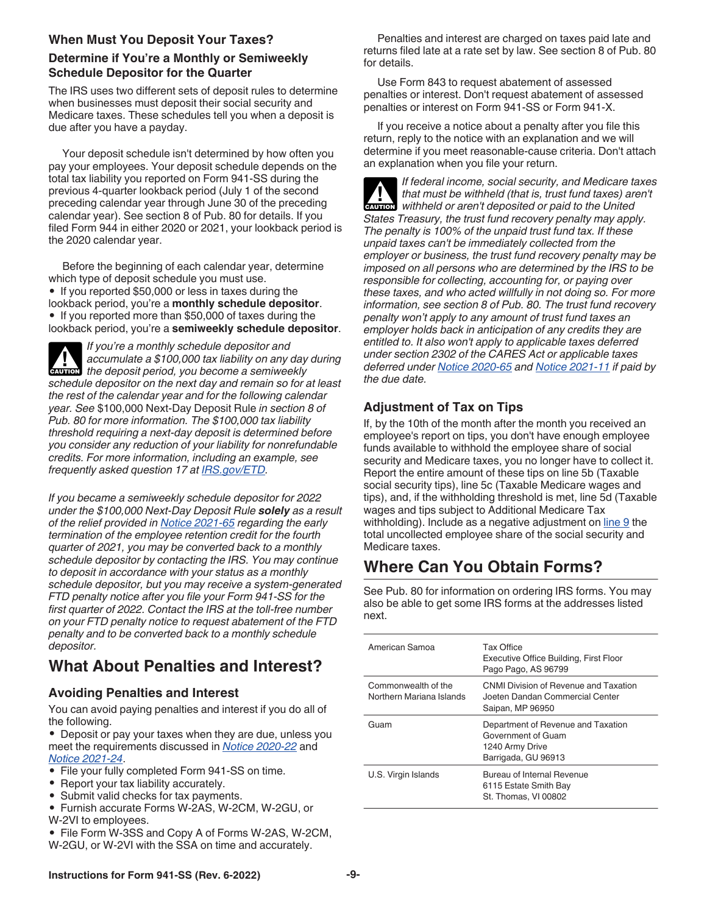#### <span id="page-8-0"></span>**When Must You Deposit Your Taxes?**

#### **Determine if You're a Monthly or Semiweekly Schedule Depositor for the Quarter**

The IRS uses two different sets of deposit rules to determine when businesses must deposit their social security and Medicare taxes. These schedules tell you when a deposit is due after you have a payday.

Your deposit schedule isn't determined by how often you pay your employees. Your deposit schedule depends on the total tax liability you reported on Form 941-SS during the previous 4-quarter lookback period (July 1 of the second preceding calendar year through June 30 of the preceding calendar year). See section 8 of Pub. 80 for details. If you filed Form 944 in either 2020 or 2021, your lookback period is the 2020 calendar year.

Before the beginning of each calendar year, determine which type of deposit schedule you must use. • If you reported \$50,000 or less in taxes during the lookback period, you're a **monthly schedule depositor**. • If you reported more than \$50,000 of taxes during the lookback period, you're a **semiweekly schedule depositor**.

*If you're a monthly schedule depositor and accumulate a \$100,000 tax liability on any day during*  **depending a** accumulate a \$100,000 tax liability on any day *schedule depositor on the next day and remain so for at least the rest of the calendar year and for the following calendar year. See* \$100,000 Next-Day Deposit Rule *in section 8 of Pub. 80 for more information. The \$100,000 tax liability threshold requiring a next-day deposit is determined before you consider any reduction of your liability for nonrefundable credits. For more information, including an example, see frequently asked question 17 at [IRS.gov/ETD.](https://www.irs.gov/etd)*

*If you became a semiweekly schedule depositor for 2022 under the \$100,000 Next-Day Deposit Rule solely as a result of the relief provided in [Notice 2021-65](https://www.irs.gov/irb/2021-51_IRB#NOT-2021-65) regarding the early termination of the employee retention credit for the fourth quarter of 2021, you may be converted back to a monthly schedule depositor by contacting the IRS. You may continue to deposit in accordance with your status as a monthly schedule depositor, but you may receive a system-generated FTD penalty notice after you file your Form 941-SS for the first quarter of 2022. Contact the IRS at the toll-free number on your FTD penalty notice to request abatement of the FTD penalty and to be converted back to a monthly schedule depositor.*

# **What About Penalties and Interest?**

## **Avoiding Penalties and Interest**

You can avoid paying penalties and interest if you do all of the following.

• Deposit or pay your taxes when they are due, unless you meet the requirements discussed in *[Notice 2020-22](https://www.irs.gov/irb/2020-17_IRB#NOT-2020-22)* and *[Notice 2021-24](https://www.irs.gov/irb/2021-18_IRB#NOT-2021-24)*.

- File your fully completed Form 941-SS on time.
- Report your tax liability accurately.
- Submit valid checks for tax payments.
- Furnish accurate Forms W-2AS, W-2CM, W-2GU, or W-2VI to employees.
- File Form W-3SS and Copy A of Forms W-2AS, W-2CM, W-2GU, or W-2VI with the SSA on time and accurately.

Penalties and interest are charged on taxes paid late and returns filed late at a rate set by law. See section 8 of Pub. 80 for details.

Use Form 843 to request abatement of assessed penalties or interest. Don't request abatement of assessed penalties or interest on Form 941-SS or Form 941-X.

If you receive a notice about a penalty after you file this return, reply to the notice with an explanation and we will determine if you meet reasonable-cause criteria. Don't attach an explanation when you file your return.

*If federal income, social security, and Medicare taxes that must be withheld (that is, trust fund taxes) aren't withheld or aren't deposited or paid to the United States Treasury, the trust fund recovery penalty may apply. The penalty is 100% of the unpaid trust fund tax. If these unpaid taxes can't be immediately collected from the employer or business, the trust fund recovery penalty may be imposed on all persons who are determined by the IRS to be responsible for collecting, accounting for, or paying over these taxes, and who acted willfully in not doing so. For more information, see section 8 of Pub. 80. The trust fund recovery penalty won't apply to any amount of trust fund taxes an employer holds back in anticipation of any credits they are entitled to. It also won't apply to applicable taxes deferred under section 2302 of the CARES Act or applicable taxes deferred under [Notice 2020-65](https://www.irs.gov/irb/2020-38_IRB#NOT-2020-65) and [Notice 2021-11](https://www.irs.gov/irb/2021-06_IRB#NOT-2021-11) if paid by the due date.* **CAUTION !**

## **Adjustment of Tax on Tips**

If, by the 10th of the month after the month you received an employee's report on tips, you don't have enough employee funds available to withhold the employee share of social security and Medicare taxes, you no longer have to collect it. Report the entire amount of these tips on line 5b (Taxable social security tips), line 5c (Taxable Medicare wages and tips), and, if the withholding threshold is met, line 5d (Taxable wages and tips subject to Additional Medicare Tax withholding). Include as a negative adjustment on [line 9](#page-12-0) the total uncollected employee share of the social security and Medicare taxes.

# **Where Can You Obtain Forms?**

See Pub. 80 for information on ordering IRS forms. You may also be able to get some IRS forms at the addresses listed next.

| American Samoa                                  | Tax Office<br>Executive Office Building, First Floor<br>Pago Pago, AS 96799                        |
|-------------------------------------------------|----------------------------------------------------------------------------------------------------|
| Commonwealth of the<br>Northern Mariana Islands | CNMI Division of Revenue and Taxation<br>Joeten Dandan Commercial Center<br>Saipan, MP 96950       |
| Guam                                            | Department of Revenue and Taxation<br>Government of Guam<br>1240 Army Drive<br>Barrigada, GU 96913 |
| U.S. Virgin Islands                             | Bureau of Internal Revenue<br>6115 Estate Smith Bay<br>St. Thomas, VI 00802                        |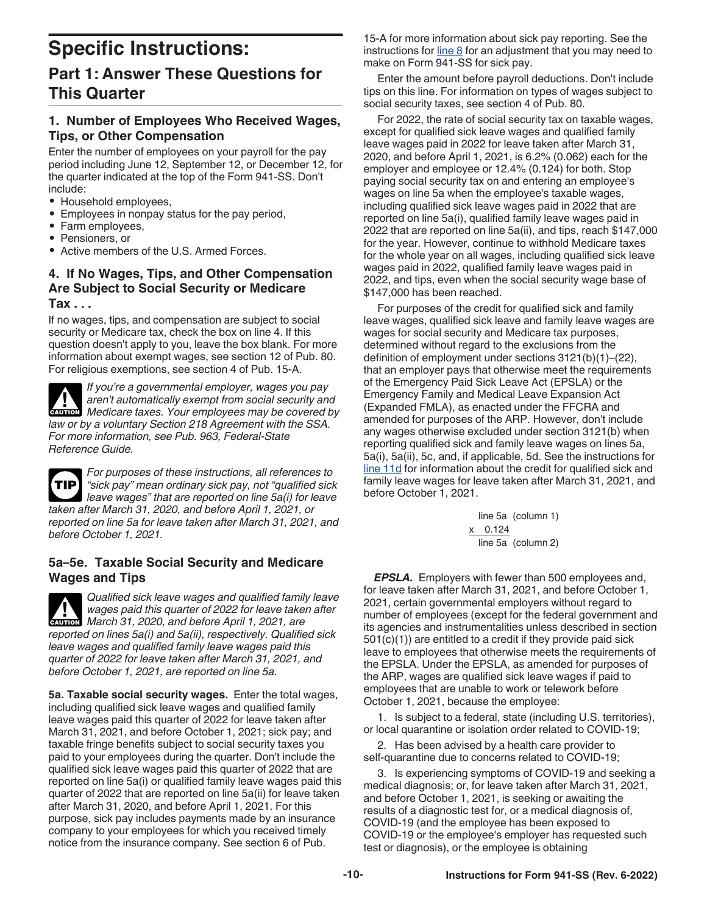# <span id="page-9-0"></span>**Specific Instructions: Part 1: Answer These Questions for This Quarter**

#### **1. Number of Employees Who Received Wages, Tips, or Other Compensation**

Enter the number of employees on your payroll for the pay period including June 12, September 12, or December 12, for the quarter indicated at the top of the Form 941-SS. Don't include:

- Household employees,
- Employees in nonpay status for the pay period,
- Farm employees,
- Pensioners, or
- Active members of the U.S. Armed Forces

#### **4. If No Wages, Tips, and Other Compensation Are Subject to Social Security or Medicare Tax . . .**

If no wages, tips, and compensation are subject to social security or Medicare tax, check the box on line 4. If this question doesn't apply to you, leave the box blank. For more information about exempt wages, see section 12 of Pub. 80. For religious exemptions, see section 4 of Pub. 15-A.

*If you're a governmental employer, wages you pay aren't automatically exempt from social security and*  **CAUTION** *Medicare taxes. Your employees may be covered by law or by a voluntary Section 218 Agreement with the SSA. For more information, see Pub. 963, Federal-State Reference Guide.*

*For purposes of these instructions, all references to "sick pay" mean ordinary sick pay, not "qualified sick leave wages" that are reported on line 5a(i) for leave taken after March 31, 2020, and before April 1, 2021, or reported on line 5a for leave taken after March 31, 2021, and before October 1, 2021.* **TIP**

#### **5a–5e. Taxable Social Security and Medicare Wages and Tips**

*Qualified sick leave wages and qualified family leave wages paid this quarter of 2022 for leave taken after*  Wages paid this quarter of 2022 for leave taken<br> **CAUTION** March 31, 2020, and before April 1, 2021, are *reported on lines 5a(i) and 5a(ii), respectively. Qualified sick leave wages and qualified family leave wages paid this quarter of 2022 for leave taken after March 31, 2021, and before October 1, 2021, are reported on line 5a.*

**5a. Taxable social security wages.** Enter the total wages, including qualified sick leave wages and qualified family leave wages paid this quarter of 2022 for leave taken after March 31, 2021, and before October 1, 2021; sick pay; and taxable fringe benefits subject to social security taxes you paid to your employees during the quarter. Don't include the qualified sick leave wages paid this quarter of 2022 that are reported on line 5a(i) or qualified family leave wages paid this quarter of 2022 that are reported on line 5a(ii) for leave taken after March 31, 2020, and before April 1, 2021. For this purpose, sick pay includes payments made by an insurance company to your employees for which you received timely notice from the insurance company. See section 6 of Pub.

15-A for more information about sick pay reporting. See the instructions for  $\frac{line\ 8}{line\ 8}$  for an adjustment that you may need to make on Form 941-SS for sick pay.

Enter the amount before payroll deductions. Don't include tips on this line. For information on types of wages subject to social security taxes, see section 4 of Pub. 80.

For 2022, the rate of social security tax on taxable wages, except for qualified sick leave wages and qualified family leave wages paid in 2022 for leave taken after March 31, 2020, and before April 1, 2021, is 6.2% (0.062) each for the employer and employee or 12.4% (0.124) for both. Stop paying social security tax on and entering an employee's wages on line 5a when the employee's taxable wages, including qualified sick leave wages paid in 2022 that are reported on line 5a(i), qualified family leave wages paid in 2022 that are reported on line 5a(ii), and tips, reach \$147,000 for the year. However, continue to withhold Medicare taxes for the whole year on all wages, including qualified sick leave wages paid in 2022, qualified family leave wages paid in 2022, and tips, even when the social security wage base of \$147,000 has been reached.

For purposes of the credit for qualified sick and family leave wages, qualified sick leave and family leave wages are wages for social security and Medicare tax purposes, determined without regard to the exclusions from the definition of employment under sections 3121(b)(1)–(22), that an employer pays that otherwise meet the requirements of the Emergency Paid Sick Leave Act (EPSLA) or the Emergency Family and Medical Leave Expansion Act (Expanded FMLA), as enacted under the FFCRA and amended for purposes of the ARP. However, don't include any wages otherwise excluded under section 3121(b) when reporting qualified sick and family leave wages on lines 5a, 5a(i), 5a(ii), 5c, and, if applicable, 5d. See the instructions for [line 11d](#page-13-0) for information about the credit for qualified sick and family leave wages for leave taken after March 31, 2021, and before October 1, 2021.

> line 5a (column 1) x  0.124 line 5a (column 2)

*EPSLA.* Employers with fewer than 500 employees and, for leave taken after March 31, 2021, and before October 1, 2021, certain governmental employers without regard to number of employees (except for the federal government and its agencies and instrumentalities unless described in section 501(c)(1)) are entitled to a credit if they provide paid sick leave to employees that otherwise meets the requirements of the EPSLA. Under the EPSLA, as amended for purposes of the ARP, wages are qualified sick leave wages if paid to employees that are unable to work or telework before October 1, 2021, because the employee:

1. Is subject to a federal, state (including U.S. territories), or local quarantine or isolation order related to COVID-19;

2. Has been advised by a health care provider to self-quarantine due to concerns related to COVID-19;

3. Is experiencing symptoms of COVID-19 and seeking a medical diagnosis; or, for leave taken after March 31, 2021, and before October 1, 2021, is seeking or awaiting the results of a diagnostic test for, or a medical diagnosis of, COVID-19 (and the employee has been exposed to COVID-19 or the employee's employer has requested such test or diagnosis), or the employee is obtaining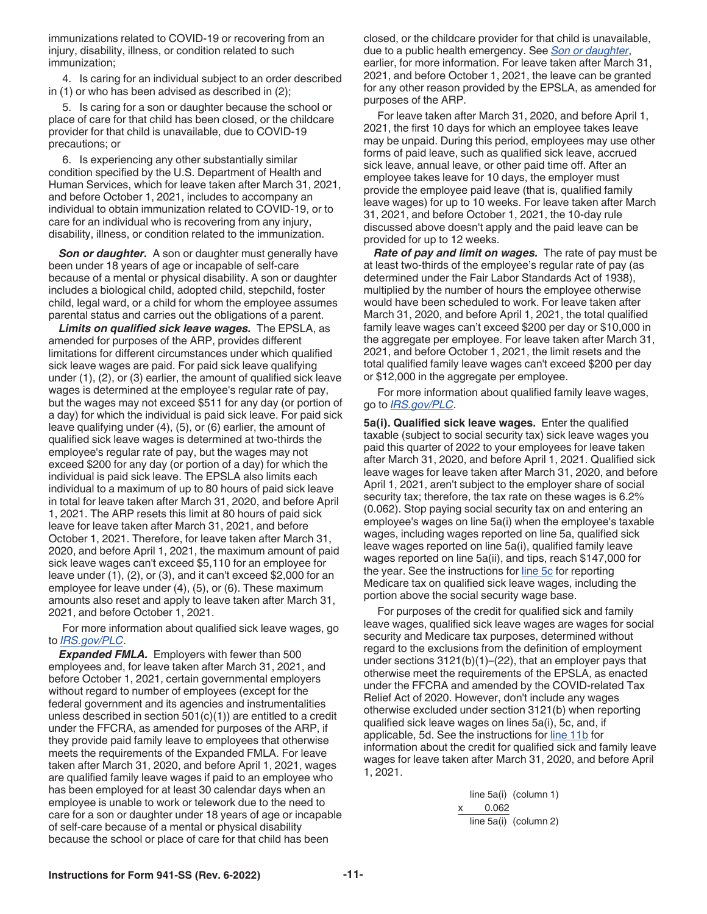<span id="page-10-0"></span>immunizations related to COVID-19 or recovering from an injury, disability, illness, or condition related to such immunization;

4. Is caring for an individual subject to an order described in (1) or who has been advised as described in (2);

5. Is caring for a son or daughter because the school or place of care for that child has been closed, or the childcare provider for that child is unavailable, due to COVID-19 precautions; or

6. Is experiencing any other substantially similar condition specified by the U.S. Department of Health and Human Services, which for leave taken after March 31, 2021, and before October 1, 2021, includes to accompany an individual to obtain immunization related to COVID-19, or to care for an individual who is recovering from any injury, disability, illness, or condition related to the immunization.

**Son or daughter.** A son or daughter must generally have been under 18 years of age or incapable of self-care because of a mental or physical disability. A son or daughter includes a biological child, adopted child, stepchild, foster child, legal ward, or a child for whom the employee assumes parental status and carries out the obligations of a parent.

*Limits on qualified sick leave wages.* The EPSLA, as amended for purposes of the ARP, provides different limitations for different circumstances under which qualified sick leave wages are paid. For paid sick leave qualifying under (1), (2), or (3) earlier, the amount of qualified sick leave wages is determined at the employee's regular rate of pay, but the wages may not exceed \$511 for any day (or portion of a day) for which the individual is paid sick leave. For paid sick leave qualifying under (4), (5), or (6) earlier, the amount of qualified sick leave wages is determined at two-thirds the employee's regular rate of pay, but the wages may not exceed \$200 for any day (or portion of a day) for which the individual is paid sick leave. The EPSLA also limits each individual to a maximum of up to 80 hours of paid sick leave in total for leave taken after March 31, 2020, and before April 1, 2021. The ARP resets this limit at 80 hours of paid sick leave for leave taken after March 31, 2021, and before October 1, 2021. Therefore, for leave taken after March 31, 2020, and before April 1, 2021, the maximum amount of paid sick leave wages can't exceed \$5,110 for an employee for leave under (1), (2), or (3), and it can't exceed \$2,000 for an employee for leave under (4), (5), or (6). These maximum amounts also reset and apply to leave taken after March 31, 2021, and before October 1, 2021.

For more information about qualified sick leave wages, go to *[IRS.gov/PLC](https://www.irs.gov/plc)*.

*Expanded FMLA.* Employers with fewer than 500 employees and, for leave taken after March 31, 2021, and before October 1, 2021, certain governmental employers without regard to number of employees (except for the federal government and its agencies and instrumentalities unless described in section 501(c)(1)) are entitled to a credit under the FFCRA, as amended for purposes of the ARP, if they provide paid family leave to employees that otherwise meets the requirements of the Expanded FMLA. For leave taken after March 31, 2020, and before April 1, 2021, wages are qualified family leave wages if paid to an employee who has been employed for at least 30 calendar days when an employee is unable to work or telework due to the need to care for a son or daughter under 18 years of age or incapable of self-care because of a mental or physical disability because the school or place of care for that child has been

closed, or the childcare provider for that child is unavailable, due to a public health emergency. See *Son or daughter*, earlier, for more information. For leave taken after March 31, 2021, and before October 1, 2021, the leave can be granted for any other reason provided by the EPSLA, as amended for purposes of the ARP.

For leave taken after March 31, 2020, and before April 1, 2021, the first 10 days for which an employee takes leave may be unpaid. During this period, employees may use other forms of paid leave, such as qualified sick leave, accrued sick leave, annual leave, or other paid time off. After an employee takes leave for 10 days, the employer must provide the employee paid leave (that is, qualified family leave wages) for up to 10 weeks. For leave taken after March 31, 2021, and before October 1, 2021, the 10-day rule discussed above doesn't apply and the paid leave can be provided for up to 12 weeks.

*Rate of pay and limit on wages.* The rate of pay must be at least two-thirds of the employee's regular rate of pay (as determined under the Fair Labor Standards Act of 1938), multiplied by the number of hours the employee otherwise would have been scheduled to work. For leave taken after March 31, 2020, and before April 1, 2021, the total qualified family leave wages can't exceed \$200 per day or \$10,000 in the aggregate per employee. For leave taken after March 31, 2021, and before October 1, 2021, the limit resets and the total qualified family leave wages can't exceed \$200 per day or \$12,000 in the aggregate per employee.

For more information about qualified family leave wages, go to *[IRS.gov/PLC](https://www.irs.gov/plc)*.

**5a(i). Qualified sick leave wages.** Enter the qualified taxable (subject to social security tax) sick leave wages you paid this quarter of 2022 to your employees for leave taken after March 31, 2020, and before April 1, 2021. Qualified sick leave wages for leave taken after March 31, 2020, and before April 1, 2021, aren't subject to the employer share of social security tax; therefore, the tax rate on these wages is 6.2% (0.062). Stop paying social security tax on and entering an employee's wages on line 5a(i) when the employee's taxable wages, including wages reported on line 5a, qualified sick leave wages reported on line 5a(i), qualified family leave wages reported on line 5a(ii), and tips, reach \$147,000 for the year. See the instructions for [line 5c](#page-11-0) for reporting Medicare tax on qualified sick leave wages, including the portion above the social security wage base.

For purposes of the credit for qualified sick and family leave wages, qualified sick leave wages are wages for social security and Medicare tax purposes, determined without regard to the exclusions from the definition of employment under sections 3121(b)(1)–(22), that an employer pays that otherwise meet the requirements of the EPSLA, as enacted under the FFCRA and amended by the COVID-related Tax Relief Act of 2020. However, don't include any wages otherwise excluded under section 3121(b) when reporting qualified sick leave wages on lines 5a(i), 5c, and, if applicable, 5d. See the instructions for [line 11b](#page-12-0) for information about the credit for qualified sick and family leave wages for leave taken after March 31, 2020, and before April 1, 2021.

> line 5a(i) (column 1) 0.062 line 5a(i) (column 2)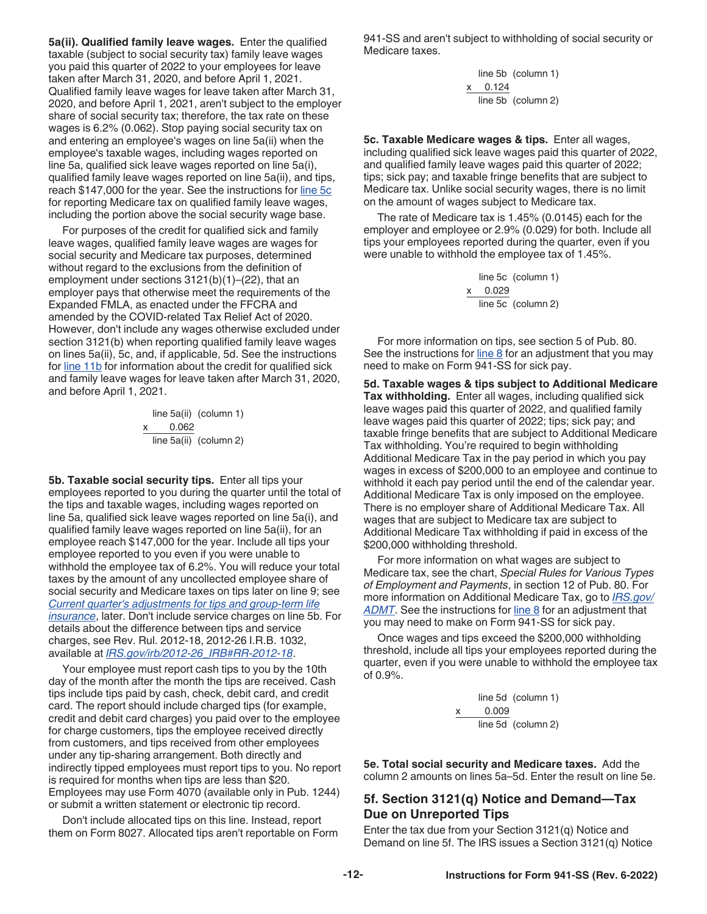<span id="page-11-0"></span>**5a(ii). Qualified family leave wages.** Enter the qualified taxable (subject to social security tax) family leave wages you paid this quarter of 2022 to your employees for leave taken after March 31, 2020, and before April 1, 2021. Qualified family leave wages for leave taken after March 31, 2020, and before April 1, 2021, aren't subject to the employer share of social security tax; therefore, the tax rate on these wages is 6.2% (0.062). Stop paying social security tax on and entering an employee's wages on line 5a(ii) when the employee's taxable wages, including wages reported on line 5a, qualified sick leave wages reported on line 5a(i), qualified family leave wages reported on line 5a(ii), and tips, reach \$147,000 for the year. See the instructions for line 5c for reporting Medicare tax on qualified family leave wages, including the portion above the social security wage base.

For purposes of the credit for qualified sick and family leave wages, qualified family leave wages are wages for social security and Medicare tax purposes, determined without regard to the exclusions from the definition of employment under sections 3121(b)(1)–(22), that an employer pays that otherwise meet the requirements of the Expanded FMLA, as enacted under the FFCRA and amended by the COVID-related Tax Relief Act of 2020. However, don't include any wages otherwise excluded under section 3121(b) when reporting qualified family leave wages on lines 5a(ii), 5c, and, if applicable, 5d. See the instructions for [line 11b](#page-12-0) for information about the credit for qualified sick and family leave wages for leave taken after March 31, 2020, and before April 1, 2021.

> line 5a(ii) (column 1) 0.062 line 5a(ii) (column 2)

**5b. Taxable social security tips.** Enter all tips your employees reported to you during the quarter until the total of the tips and taxable wages, including wages reported on line 5a, qualified sick leave wages reported on line 5a(i), and qualified family leave wages reported on line 5a(ii), for an employee reach \$147,000 for the year. Include all tips your employee reported to you even if you were unable to withhold the employee tax of 6.2%. You will reduce your total taxes by the amount of any uncollected employee share of social security and Medicare taxes on tips later on line 9; see *[Current quarter's adjustments for tips and group-term life](#page-12-0) [insurance](#page-12-0)*, later. Don't include service charges on line 5b. For details about the difference between tips and service charges, see Rev. Rul. 2012-18, 2012-26 I.R.B. 1032, available at *[IRS.gov/irb/2012-26\\_IRB#RR-2012-18](https://www.irs.gov/irb/2012-26_IRB#RR-2012-18)*.

Your employee must report cash tips to you by the 10th day of the month after the month the tips are received. Cash tips include tips paid by cash, check, debit card, and credit card. The report should include charged tips (for example, credit and debit card charges) you paid over to the employee for charge customers, tips the employee received directly from customers, and tips received from other employees under any tip-sharing arrangement. Both directly and indirectly tipped employees must report tips to you. No report is required for months when tips are less than \$20. Employees may use Form 4070 (available only in Pub. 1244) or submit a written statement or electronic tip record.

Don't include allocated tips on this line. Instead, report them on Form 8027. Allocated tips aren't reportable on Form 941-SS and aren't subject to withholding of social security or Medicare taxes.

> line 5b (column 1) x   0.124 line 5b (column 2)

**5c. Taxable Medicare wages & tips.** Enter all wages, including qualified sick leave wages paid this quarter of 2022, and qualified family leave wages paid this quarter of 2022; tips; sick pay; and taxable fringe benefits that are subject to Medicare tax. Unlike social security wages, there is no limit on the amount of wages subject to Medicare tax.

The rate of Medicare tax is 1.45% (0.0145) each for the employer and employee or 2.9% (0.029) for both. Include all tips your employees reported during the quarter, even if you were unable to withhold the employee tax of 1.45%.

> line 5c (column 1) x   0.029 line 5c (column 2)

For more information on tips, see section 5 of Pub. 80. See the instructions for  $line 8$  for an adjustment that you may need to make on Form 941-SS for sick pay.

**5d. Taxable wages & tips subject to Additional Medicare Tax withholding.** Enter all wages, including qualified sick leave wages paid this quarter of 2022, and qualified family leave wages paid this quarter of 2022; tips; sick pay; and taxable fringe benefits that are subject to Additional Medicare Tax withholding. You're required to begin withholding Additional Medicare Tax in the pay period in which you pay wages in excess of \$200,000 to an employee and continue to withhold it each pay period until the end of the calendar year. Additional Medicare Tax is only imposed on the employee. There is no employer share of Additional Medicare Tax. All wages that are subject to Medicare tax are subject to Additional Medicare Tax withholding if paid in excess of the \$200,000 withholding threshold.

For more information on what wages are subject to Medicare tax, see the chart, *Special Rules for Various Types of Employment and Payments*, in section 12 of Pub. 80. For more information on Additional Medicare Tax, go to *[IRS.gov/](https://www.irs.gov/admt)* **[ADMT](https://www.irs.gov/admt)**. See the instructions for [line 8](#page-12-0) for an adjustment that you may need to make on Form 941-SS for sick pay.

Once wages and tips exceed the \$200,000 withholding threshold, include all tips your employees reported during the quarter, even if you were unable to withhold the employee tax of 0.9%.

> line 5d (column 1) x     0.009 line 5d (column 2)

**5e. Total social security and Medicare taxes.** Add the column 2 amounts on lines 5a–5d. Enter the result on line 5e.

#### **5f. Section 3121(q) Notice and Demand—Tax Due on Unreported Tips**

Enter the tax due from your Section 3121(q) Notice and Demand on line 5f. The IRS issues a Section 3121(q) Notice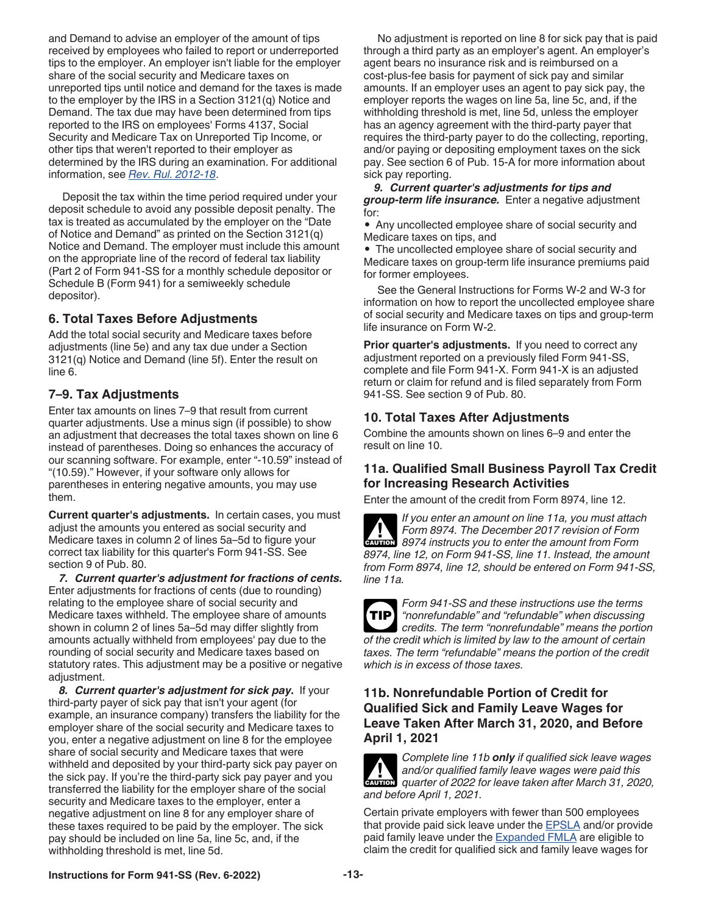<span id="page-12-0"></span>and Demand to advise an employer of the amount of tips received by employees who failed to report or underreported tips to the employer. An employer isn't liable for the employer share of the social security and Medicare taxes on unreported tips until notice and demand for the taxes is made to the employer by the IRS in a Section 3121(q) Notice and Demand. The tax due may have been determined from tips reported to the IRS on employees' Forms 4137, Social Security and Medicare Tax on Unreported Tip Income, or other tips that weren't reported to their employer as determined by the IRS during an examination. For additional information, see *[Rev. Rul. 2012-18](https://www.irs.gov/irb/2012-26_IRB#RR-2012-18)*.

Deposit the tax within the time period required under your deposit schedule to avoid any possible deposit penalty. The tax is treated as accumulated by the employer on the "Date of Notice and Demand" as printed on the Section 3121(q) Notice and Demand. The employer must include this amount on the appropriate line of the record of federal tax liability (Part 2 of Form 941-SS for a monthly schedule depositor or Schedule B (Form 941) for a semiweekly schedule depositor).

#### **6. Total Taxes Before Adjustments**

Add the total social security and Medicare taxes before adjustments (line 5e) and any tax due under a Section 3121(q) Notice and Demand (line 5f). Enter the result on line 6.

## **7–9. Tax Adjustments**

Enter tax amounts on lines 7–9 that result from current quarter adjustments. Use a minus sign (if possible) to show an adjustment that decreases the total taxes shown on line 6 instead of parentheses. Doing so enhances the accuracy of our scanning software. For example, enter "-10.59" instead of "(10.59)." However, if your software only allows for parentheses in entering negative amounts, you may use them.

**Current quarter's adjustments.** In certain cases, you must adjust the amounts you entered as social security and Medicare taxes in column 2 of lines 5a–5d to figure your correct tax liability for this quarter's Form 941-SS. See section 9 of Pub. 80.

*7. Current quarter's adjustment for fractions of cents.*  Enter adjustments for fractions of cents (due to rounding) relating to the employee share of social security and Medicare taxes withheld. The employee share of amounts shown in column 2 of lines 5a–5d may differ slightly from amounts actually withheld from employees' pay due to the rounding of social security and Medicare taxes based on statutory rates. This adjustment may be a positive or negative adjustment.

*8. Current quarter's adjustment for sick pay.* If your third-party payer of sick pay that isn't your agent (for example, an insurance company) transfers the liability for the employer share of the social security and Medicare taxes to you, enter a negative adjustment on line 8 for the employee share of social security and Medicare taxes that were withheld and deposited by your third-party sick pay payer on the sick pay. If you're the third-party sick pay payer and you transferred the liability for the employer share of the social security and Medicare taxes to the employer, enter a negative adjustment on line 8 for any employer share of these taxes required to be paid by the employer. The sick pay should be included on line 5a, line 5c, and, if the withholding threshold is met, line 5d.

No adjustment is reported on line 8 for sick pay that is paid through a third party as an employer's agent. An employer's agent bears no insurance risk and is reimbursed on a cost-plus-fee basis for payment of sick pay and similar amounts. If an employer uses an agent to pay sick pay, the employer reports the wages on line 5a, line 5c, and, if the withholding threshold is met, line 5d, unless the employer has an agency agreement with the third-party payer that requires the third-party payer to do the collecting, reporting, and/or paying or depositing employment taxes on the sick pay. See section 6 of Pub. 15-A for more information about sick pay reporting.

*9. Current quarter's adjustments for tips and group-term life insurance.* Enter a negative adjustment for:

• Any uncollected employee share of social security and Medicare taxes on tips, and

• The uncollected employee share of social security and Medicare taxes on group-term life insurance premiums paid for former employees.

See the General Instructions for Forms W-2 and W-3 for information on how to report the uncollected employee share of social security and Medicare taxes on tips and group-term life insurance on Form W-2.

**Prior quarter's adjustments.** If you need to correct any adjustment reported on a previously filed Form 941-SS, complete and file Form 941-X. Form 941-X is an adjusted return or claim for refund and is filed separately from Form 941-SS. See section 9 of Pub. 80.

## **10. Total Taxes After Adjustments**

Combine the amounts shown on lines 6–9 and enter the result on line 10.

## **11a. Qualified Small Business Payroll Tax Credit for Increasing Research Activities**

Enter the amount of the credit from Form 8974, line 12.

*If you enter an amount on line 11a, you must attach Form 8974. The December 2017 revision of Form*  **Profilm 8974.** The December 2017 revision of Form 8974 instructs you to enter the amount from Form *8974, line 12, on Form 941-SS, line 11. Instead, the amount from Form 8974, line 12, should be entered on Form 941-SS, line 11a.*

*Form 941-SS and these instructions use the terms "nonrefundable" and "refundable" when discussing credits. The term "nonrefundable" means the portion of the credit which is limited by law to the amount of certain taxes. The term "refundable" means the portion of the credit which is in excess of those taxes.* **TIP**

#### **11b. Nonrefundable Portion of Credit for Qualified Sick and Family Leave Wages for Leave Taken After March 31, 2020, and Before April 1, 2021**

*Complete line 11b only if qualified sick leave wages and/or qualified family leave wages were paid this*  and/or qualified family leave wages were paid this quarter of 2022 for leave taken after March 31, 2020, *and before April 1, 2021.*

Certain private employers with fewer than 500 employees that provide paid sick leave under the [EPSLA](#page-9-0) and/or provide paid family leave under the **Expanded FMLA** are eligible to claim the credit for qualified sick and family leave wages for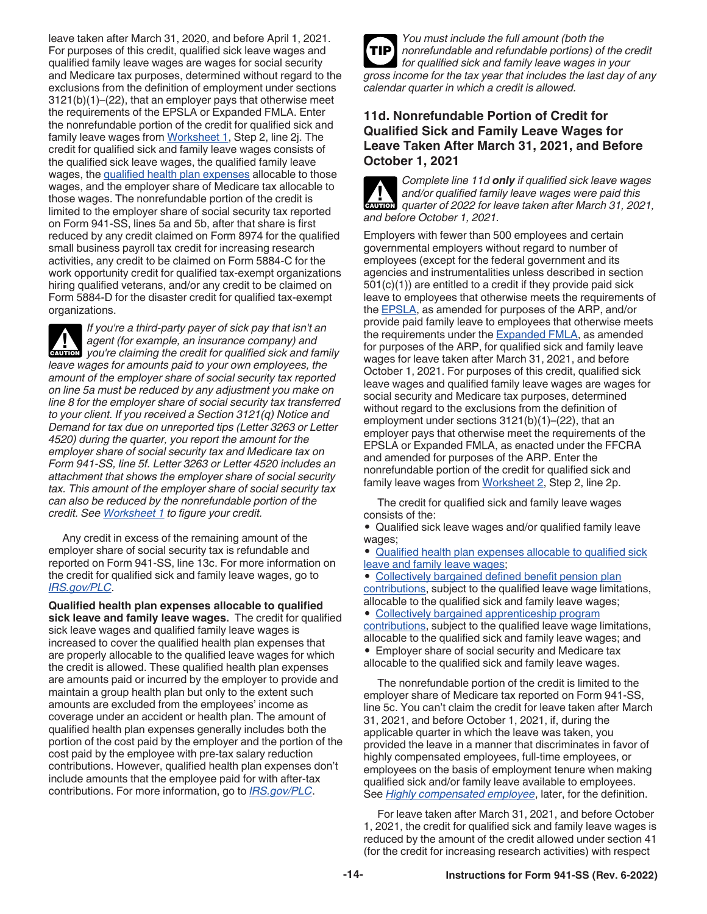<span id="page-13-0"></span>leave taken after March 31, 2020, and before April 1, 2021. For purposes of this credit, qualified sick leave wages and qualified family leave wages are wages for social security and Medicare tax purposes, determined without regard to the exclusions from the definition of employment under sections 3121(b)(1)–(22), that an employer pays that otherwise meet the requirements of the EPSLA or Expanded FMLA. Enter the nonrefundable portion of the credit for qualified sick and family leave wages from [Worksheet 1,](#page-20-0) Step 2, line 2j. The credit for qualified sick and family leave wages consists of the qualified sick leave wages, the qualified family leave wages, the qualified health plan expenses allocable to those wages, and the employer share of Medicare tax allocable to those wages. The nonrefundable portion of the credit is limited to the employer share of social security tax reported on Form 941-SS, lines 5a and 5b, after that share is first reduced by any credit claimed on Form 8974 for the qualified small business payroll tax credit for increasing research activities, any credit to be claimed on Form 5884-C for the work opportunity credit for qualified tax-exempt organizations hiring qualified veterans, and/or any credit to be claimed on Form 5884-D for the disaster credit for qualified tax-exempt organizations.

*If you're a third-party payer of sick pay that isn't an agent (for example, an insurance company) and you're claiming the credit for qualified sick and family leave wages for amounts paid to your own employees, the amount of the employer share of social security tax reported on line 5a must be reduced by any adjustment you make on line 8 for the employer share of social security tax transferred to your client. If you received a Section 3121(q) Notice and Demand for tax due on unreported tips (Letter 3263 or Letter 4520) during the quarter, you report the amount for the employer share of social security tax and Medicare tax on Form 941-SS, line 5f. Letter 3263 or Letter 4520 includes an attachment that shows the employer share of social security tax. This amount of the employer share of social security tax can also be reduced by the nonrefundable portion of the credit. See [Worksheet 1](#page-20-0) to figure your credit.* **CAUTION !**

Any credit in excess of the remaining amount of the employer share of social security tax is refundable and reported on Form 941-SS, line 13c. For more information on the credit for qualified sick and family leave wages, go to *[IRS.gov/PLC](https://www.irs.gov/plc)*.

**Qualified health plan expenses allocable to qualified sick leave and family leave wages.** The credit for qualified sick leave wages and qualified family leave wages is increased to cover the qualified health plan expenses that are properly allocable to the qualified leave wages for which the credit is allowed. These qualified health plan expenses are amounts paid or incurred by the employer to provide and maintain a group health plan but only to the extent such amounts are excluded from the employees' income as coverage under an accident or health plan. The amount of qualified health plan expenses generally includes both the portion of the cost paid by the employer and the portion of the cost paid by the employee with pre-tax salary reduction contributions. However, qualified health plan expenses don't include amounts that the employee paid for with after-tax contributions. For more information, go to *[IRS.gov/PLC](https://www.irs.gov/plc)*.



#### **11d. Nonrefundable Portion of Credit for Qualified Sick and Family Leave Wages for Leave Taken After March 31, 2021, and Before October 1, 2021**

*Complete line 11d only if qualified sick leave wages and/or qualified family leave wages were paid this quarter of 2022 for leave taken after March 31, 2021, and before October 1, 2021.* **CAUTION !**

Employers with fewer than 500 employees and certain governmental employers without regard to number of employees (except for the federal government and its agencies and instrumentalities unless described in section 501(c)(1)) are entitled to a credit if they provide paid sick leave to employees that otherwise meets the requirements of the [EPSLA,](#page-9-0) as amended for purposes of the ARP, and/or provide paid family leave to employees that otherwise meets the requirements under the [Expanded FMLA](#page-10-0), as amended for purposes of the ARP, for qualified sick and family leave wages for leave taken after March 31, 2021, and before October 1, 2021. For purposes of this credit, qualified sick leave wages and qualified family leave wages are wages for social security and Medicare tax purposes, determined without regard to the exclusions from the definition of employment under sections 3121(b)(1)–(22), that an employer pays that otherwise meet the requirements of the EPSLA or Expanded FMLA, as enacted under the FFCRA and amended for purposes of the ARP. Enter the nonrefundable portion of the credit for qualified sick and family leave wages from [Worksheet 2,](#page-21-0) Step 2, line 2p.

The credit for qualified sick and family leave wages consists of the:

• Qualified sick leave wages and/or qualified family leave wages;

• [Qualified health plan expenses allocable to qualified sick](#page-14-0)  [leave and family leave wages](#page-14-0);

• [Collectively bargained defined benefit pension plan](#page-14-0) [contributions,](#page-14-0) subject to the qualified leave wage limitations, allocable to the qualified sick and family leave wages;

• [Collectively bargained apprenticeship program](#page-14-0)  [contributions,](#page-14-0) subject to the qualified leave wage limitations, allocable to the qualified sick and family leave wages; and • Employer share of social security and Medicare tax allocable to the qualified sick and family leave wages.

The nonrefundable portion of the credit is limited to the employer share of Medicare tax reported on Form 941-SS, line 5c. You can't claim the credit for leave taken after March 31, 2021, and before October 1, 2021, if, during the applicable quarter in which the leave was taken, you provided the leave in a manner that discriminates in favor of highly compensated employees, full-time employees, or employees on the basis of employment tenure when making qualified sick and/or family leave available to employees. See *[Highly compensated employee](#page-14-0)*, later, for the definition.

For leave taken after March 31, 2021, and before October 1, 2021, the credit for qualified sick and family leave wages is reduced by the amount of the credit allowed under section 41 (for the credit for increasing research activities) with respect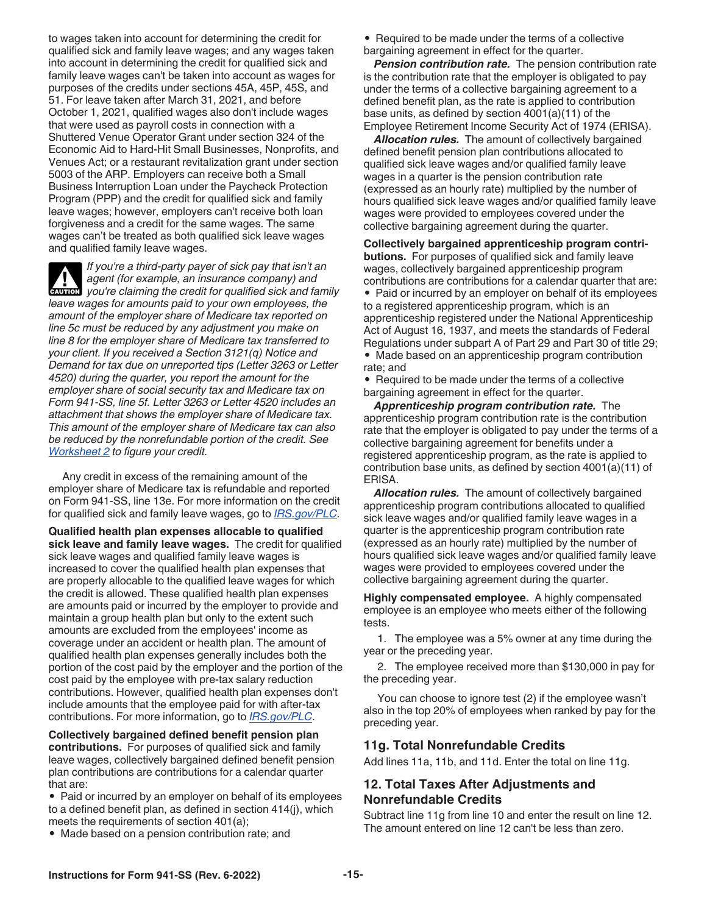<span id="page-14-0"></span>to wages taken into account for determining the credit for qualified sick and family leave wages; and any wages taken into account in determining the credit for qualified sick and family leave wages can't be taken into account as wages for purposes of the credits under sections 45A, 45P, 45S, and 51. For leave taken after March 31, 2021, and before October 1, 2021, qualified wages also don't include wages that were used as payroll costs in connection with a Shuttered Venue Operator Grant under section 324 of the Economic Aid to Hard-Hit Small Businesses, Nonprofits, and Venues Act; or a restaurant revitalization grant under section 5003 of the ARP. Employers can receive both a Small Business Interruption Loan under the Paycheck Protection Program (PPP) and the credit for qualified sick and family leave wages; however, employers can't receive both loan forgiveness and a credit for the same wages. The same wages can't be treated as both qualified sick leave wages and qualified family leave wages.

*If you're a third-party payer of sick pay that isn't an agent (for example, an insurance company) and*  **z** *you're claiming the credit for qualified sick and family*  $\frac{1}{2}$  *<i>caution*  $\frac{1}{2}$  *you're claiming the credit for qualified sick and family leave wages for amounts paid to your own employees, the amount of the employer share of Medicare tax reported on line 5c must be reduced by any adjustment you make on line 8 for the employer share of Medicare tax transferred to your client. If you received a Section 3121(q) Notice and Demand for tax due on unreported tips (Letter 3263 or Letter 4520) during the quarter, you report the amount for the employer share of social security tax and Medicare tax on Form 941-SS, line 5f. Letter 3263 or Letter 4520 includes an attachment that shows the employer share of Medicare tax. This amount of the employer share of Medicare tax can also be reduced by the nonrefundable portion of the credit. See [Worksheet 2](#page-21-0) to figure your credit.*

Any credit in excess of the remaining amount of the employer share of Medicare tax is refundable and reported on Form 941-SS, line 13e. For more information on the credit for qualified sick and family leave wages, go to *[IRS.gov/PLC](https://www.irs.gov/plc)*.

**Qualified health plan expenses allocable to qualified sick leave and family leave wages.** The credit for qualified sick leave wages and qualified family leave wages is increased to cover the qualified health plan expenses that are properly allocable to the qualified leave wages for which the credit is allowed. These qualified health plan expenses are amounts paid or incurred by the employer to provide and maintain a group health plan but only to the extent such amounts are excluded from the employees' income as coverage under an accident or health plan. The amount of qualified health plan expenses generally includes both the portion of the cost paid by the employer and the portion of the cost paid by the employee with pre-tax salary reduction contributions. However, qualified health plan expenses don't include amounts that the employee paid for with after-tax contributions. For more information, go to *[IRS.gov/PLC](https://www.irs.gov/plc)*.

**Collectively bargained defined benefit pension plan contributions.** For purposes of qualified sick and family leave wages, collectively bargained defined benefit pension plan contributions are contributions for a calendar quarter that are:

• Paid or incurred by an employer on behalf of its employees to a defined benefit plan, as defined in section 414(j), which meets the requirements of section 401(a);

• Made based on a pension contribution rate; and

• Required to be made under the terms of a collective bargaining agreement in effect for the quarter.

*Pension contribution rate.* The pension contribution rate is the contribution rate that the employer is obligated to pay under the terms of a collective bargaining agreement to a defined benefit plan, as the rate is applied to contribution base units, as defined by section 4001(a)(11) of the Employee Retirement Income Security Act of 1974 (ERISA).

*Allocation rules.* The amount of collectively bargained defined benefit pension plan contributions allocated to qualified sick leave wages and/or qualified family leave wages in a quarter is the pension contribution rate (expressed as an hourly rate) multiplied by the number of hours qualified sick leave wages and/or qualified family leave wages were provided to employees covered under the collective bargaining agreement during the quarter.

**Collectively bargained apprenticeship program contributions.** For purposes of qualified sick and family leave wages, collectively bargained apprenticeship program contributions are contributions for a calendar quarter that are:

• Paid or incurred by an employer on behalf of its employees to a registered apprenticeship program, which is an apprenticeship registered under the National Apprenticeship Act of August 16, 1937, and meets the standards of Federal Regulations under subpart A of Part 29 and Part 30 of title 29; • Made based on an apprenticeship program contribution

rate; and • Required to be made under the terms of a collective bargaining agreement in effect for the quarter.

*Apprenticeship program contribution rate.* The apprenticeship program contribution rate is the contribution rate that the employer is obligated to pay under the terms of a collective bargaining agreement for benefits under a registered apprenticeship program, as the rate is applied to contribution base units, as defined by section 4001(a)(11) of ERISA.

*Allocation rules.* The amount of collectively bargained apprenticeship program contributions allocated to qualified sick leave wages and/or qualified family leave wages in a quarter is the apprenticeship program contribution rate (expressed as an hourly rate) multiplied by the number of hours qualified sick leave wages and/or qualified family leave wages were provided to employees covered under the collective bargaining agreement during the quarter.

**Highly compensated employee.** A highly compensated employee is an employee who meets either of the following tests.

1. The employee was a 5% owner at any time during the year or the preceding year.

2. The employee received more than \$130,000 in pay for the preceding year.

You can choose to ignore test (2) if the employee wasn't also in the top 20% of employees when ranked by pay for the preceding year.

#### **11g. Total Nonrefundable Credits**

Add lines 11a, 11b, and 11d. Enter the total on line 11g.

#### **12. Total Taxes After Adjustments and Nonrefundable Credits**

Subtract line 11g from line 10 and enter the result on line 12. The amount entered on line 12 can't be less than zero.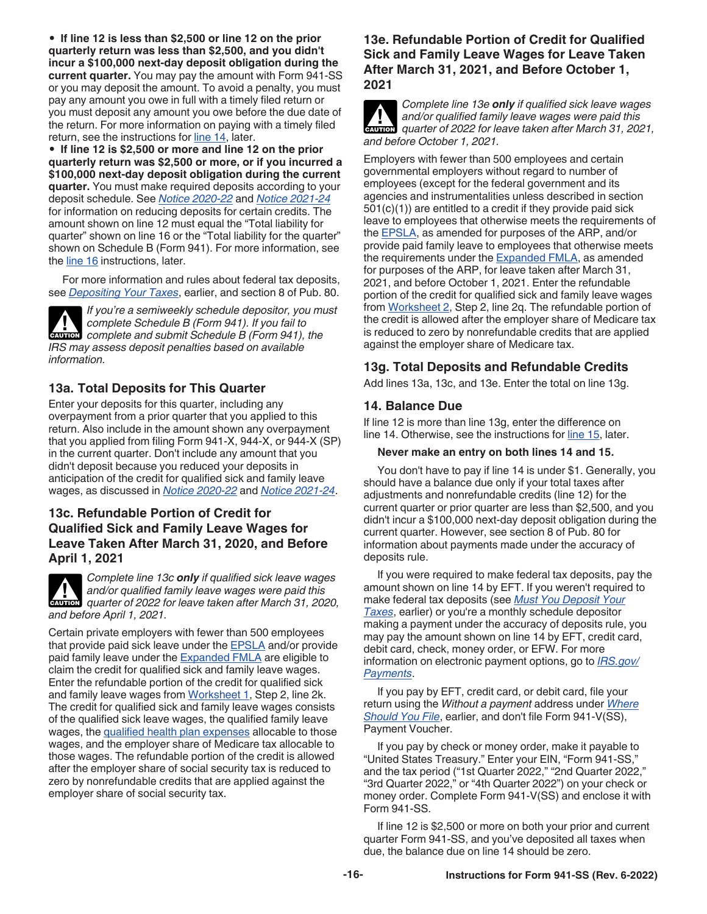<span id="page-15-0"></span>• **If line 12 is less than \$2,500 or line 12 on the prior quarterly return was less than \$2,500, and you didn't incur a \$100,000 next-day deposit obligation during the current quarter.** You may pay the amount with Form 941-SS or you may deposit the amount. To avoid a penalty, you must pay any amount you owe in full with a timely filed return or you must deposit any amount you owe before the due date of the return. For more information on paying with a timely filed return, see the instructions for line 14, later.

• **If line 12 is \$2,500 or more and line 12 on the prior quarterly return was \$2,500 or more, or if you incurred a \$100,000 next-day deposit obligation during the current quarter.** You must make required deposits according to your deposit schedule. See *[Notice 2020-22](https://www.irs.gov/irb/2020-17_IRB#NOT-2020-22)* and *[Notice 2021-24](https://www.irs.gov/irb/2021-18_IRB#NOT-2021-24)*  for information on reducing deposits for certain credits. The amount shown on line 12 must equal the "Total liability for quarter" shown on line 16 or the "Total liability for the quarter" shown on Schedule B (Form 941). For more information, see the [line 16](#page-16-0) instructions, later.

For more information and rules about federal tax deposits, see *[Depositing Your Taxes](#page-7-0)*, earlier, and section 8 of Pub. 80.

*If you're a semiweekly schedule depositor, you must complete Schedule B (Form 941). If you fail to*  **COMPLETE Schedule B (Form 941). If you fail to complete and submit Schedule B (Form 941), the** *IRS may assess deposit penalties based on available information.*

## **13a. Total Deposits for This Quarter**

Enter your deposits for this quarter, including any overpayment from a prior quarter that you applied to this return. Also include in the amount shown any overpayment that you applied from filing Form 941-X, 944-X, or 944-X (SP) in the current quarter. Don't include any amount that you didn't deposit because you reduced your deposits in anticipation of the credit for qualified sick and family leave wages, as discussed in *[Notice 2020-22](https://www.irs.gov/irb/2020-17_IRB#NOT-2020-22)* and *[Notice 2021-24](https://www.irs.gov/irb/2021-18_IRB#NOT-2021-24)*.

#### **13c. Refundable Portion of Credit for Qualified Sick and Family Leave Wages for Leave Taken After March 31, 2020, and Before April 1, 2021**



*Complete line 13c only if qualified sick leave wages and/or qualified family leave wages were paid this*  and/or qualified family leave wages were paid this quarter of 2022 for leave taken after March 31, 2020, *and before April 1, 2021.*

Certain private employers with fewer than 500 employees that provide paid sick leave under the **EPSLA** and/or provide paid family leave under the [Expanded FMLA](#page-10-0) are eligible to claim the credit for qualified sick and family leave wages. Enter the refundable portion of the credit for qualified sick and family leave wages from [Worksheet 1,](#page-20-0) Step 2, line 2k. The credit for qualified sick and family leave wages consists of the qualified sick leave wages, the qualified family leave wages, the [qualified health plan expenses](#page-13-0) allocable to those wages, and the employer share of Medicare tax allocable to those wages. The refundable portion of the credit is allowed after the employer share of social security tax is reduced to zero by nonrefundable credits that are applied against the employer share of social security tax.

#### **13e. Refundable Portion of Credit for Qualified Sick and Family Leave Wages for Leave Taken After March 31, 2021, and Before October 1, 2021**

*Complete line 13e only if qualified sick leave wages and/or qualified family leave wages were paid this quarter of 2022 for leave taken after March 31, 2021, and before October 1, 2021.* **CAUTION !**

Employers with fewer than 500 employees and certain governmental employers without regard to number of employees (except for the federal government and its agencies and instrumentalities unless described in section 501(c)(1)) are entitled to a credit if they provide paid sick leave to employees that otherwise meets the requirements of the [EPSLA,](#page-9-0) as amended for purposes of the ARP, and/or provide paid family leave to employees that otherwise meets the requirements under the **[Expanded FMLA](#page-10-0)**, as amended for purposes of the ARP, for leave taken after March 31, 2021, and before October 1, 2021. Enter the refundable portion of the credit for qualified sick and family leave wages from [Worksheet 2](#page-21-0), Step 2, line 2q. The refundable portion of the credit is allowed after the employer share of Medicare tax is reduced to zero by nonrefundable credits that are applied against the employer share of Medicare tax.

## **13g. Total Deposits and Refundable Credits**

Add lines 13a, 13c, and 13e. Enter the total on line 13g.

#### **14. Balance Due**

If line 12 is more than line 13g, enter the difference on line 14. Otherwise, see the instructions for [line 15](#page-16-0), later.

#### **Never make an entry on both lines 14 and 15.**

You don't have to pay if line 14 is under \$1. Generally, you should have a balance due only if your total taxes after adjustments and nonrefundable credits (line 12) for the current quarter or prior quarter are less than \$2,500, and you didn't incur a \$100,000 next-day deposit obligation during the current quarter. However, see section 8 of Pub. 80 for information about payments made under the accuracy of deposits rule.

If you were required to make federal tax deposits, pay the amount shown on line 14 by EFT. If you weren't required to make federal tax deposits (see *[Must You Deposit Your](#page-7-0)  [Taxes](#page-7-0)*, earlier) or you're a monthly schedule depositor making a payment under the accuracy of deposits rule, you may pay the amount shown on line 14 by EFT, credit card, debit card, check, money order, or EFW. For more information on electronic payment options, go to *[IRS.gov/](https://www.irs.gov/payments) [Payments](https://www.irs.gov/payments)*.

If you pay by EFT, credit card, or debit card, file your return using the *Without a payment* address under *[Where](#page-7-0)  [Should You File](#page-7-0)*, earlier, and don't file Form 941-V(SS), Payment Voucher.

If you pay by check or money order, make it payable to "United States Treasury." Enter your EIN, "Form 941-SS," and the tax period ("1st Quarter 2022," "2nd Quarter 2022," "3rd Quarter 2022," or "4th Quarter 2022") on your check or money order. Complete Form 941-V(SS) and enclose it with Form 941-SS.

If line 12 is \$2,500 or more on both your prior and current quarter Form 941-SS, and you've deposited all taxes when due, the balance due on line 14 should be zero.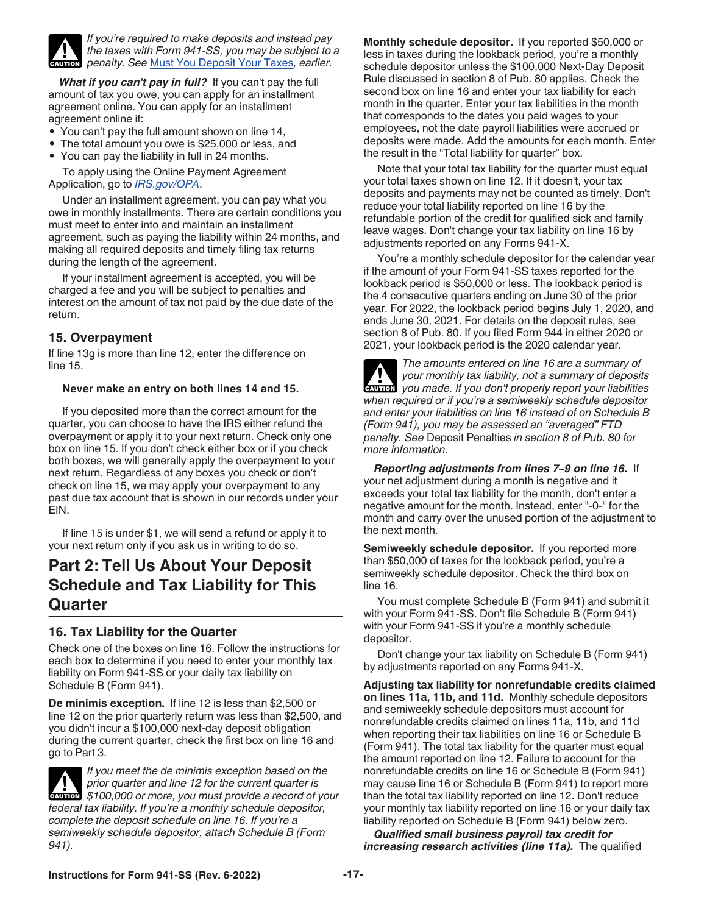<span id="page-16-0"></span>

*If you're required to make deposits and instead pay the taxes with Form 941-SS, you may be subject to a penalty. See* [Must You Deposit Your Taxes](#page-7-0)*, earlier.*

*What if you can't pay in full?* If you can't pay the full amount of tax you owe, you can apply for an installment agreement online. You can apply for an installment agreement online if:

- You can't pay the full amount shown on line 14,
- The total amount you owe is \$25,000 or less, and
- You can pay the liability in full in 24 months.

To apply using the Online Payment Agreement Application, go to *[IRS.gov/OPA](https://www.irs.gov/opa)*.

Under an installment agreement, you can pay what you owe in monthly installments. There are certain conditions you must meet to enter into and maintain an installment agreement, such as paying the liability within 24 months, and making all required deposits and timely filing tax returns during the length of the agreement.

If your installment agreement is accepted, you will be charged a fee and you will be subject to penalties and interest on the amount of tax not paid by the due date of the return.

#### **15. Overpayment**

If line 13g is more than line 12, enter the difference on line 15.

#### **Never make an entry on both lines 14 and 15.**

If you deposited more than the correct amount for the quarter, you can choose to have the IRS either refund the overpayment or apply it to your next return. Check only one box on line 15. If you don't check either box or if you check both boxes, we will generally apply the overpayment to your next return. Regardless of any boxes you check or don't check on line 15, we may apply your overpayment to any past due tax account that is shown in our records under your EIN.

If line 15 is under \$1, we will send a refund or apply it to your next return only if you ask us in writing to do so.

## **Part 2: Tell Us About Your Deposit Schedule and Tax Liability for This Quarter**

#### **16. Tax Liability for the Quarter**

Check one of the boxes on line 16. Follow the instructions for each box to determine if you need to enter your monthly tax liability on Form 941-SS or your daily tax liability on Schedule B (Form 941).

**De minimis exception.** If line 12 is less than \$2,500 or line 12 on the prior quarterly return was less than \$2,500, and you didn't incur a \$100,000 next-day deposit obligation during the current quarter, check the first box on line 16 and go to Part 3.

*If you meet the de minimis exception based on the prior quarter and line 12 for the current quarter is*  prior quarter and line 12 for the current quarter is<br>
\$100,000 or more, you must provide a record of your *federal tax liability. If you're a monthly schedule depositor, complete the deposit schedule on line 16. If you're a semiweekly schedule depositor, attach Schedule B (Form 941).*

**Monthly schedule depositor.** If you reported \$50,000 or less in taxes during the lookback period, you're a monthly schedule depositor unless the \$100,000 Next-Day Deposit Rule discussed in section 8 of Pub. 80 applies. Check the second box on line 16 and enter your tax liability for each month in the quarter. Enter your tax liabilities in the month that corresponds to the dates you paid wages to your employees, not the date payroll liabilities were accrued or deposits were made. Add the amounts for each month. Enter the result in the "Total liability for quarter" box.

Note that your total tax liability for the quarter must equal your total taxes shown on line 12. If it doesn't, your tax deposits and payments may not be counted as timely. Don't reduce your total liability reported on line 16 by the refundable portion of the credit for qualified sick and family leave wages. Don't change your tax liability on line 16 by adjustments reported on any Forms 941-X.

You're a monthly schedule depositor for the calendar year if the amount of your Form 941-SS taxes reported for the lookback period is \$50,000 or less. The lookback period is the 4 consecutive quarters ending on June 30 of the prior year. For 2022, the lookback period begins July 1, 2020, and ends June 30, 2021. For details on the deposit rules, see section 8 of Pub. 80. If you filed Form 944 in either 2020 or 2021, your lookback period is the 2020 calendar year.

*The amounts entered on line 16 are a summary of your monthly tax liability, not a summary of deposits you made. If you don't properly report your liabilities when required or if you're a semiweekly schedule depositor and enter your liabilities on line 16 instead of on Schedule B (Form 941), you may be assessed an "averaged" FTD penalty. See* Deposit Penalties *in section 8 of Pub. 80 for more information.* **A**<br>CAUTION

*Reporting adjustments from lines 7–9 on line 16.* If your net adjustment during a month is negative and it exceeds your total tax liability for the month, don't enter a negative amount for the month. Instead, enter "-0-" for the month and carry over the unused portion of the adjustment to the next month.

**Semiweekly schedule depositor.** If you reported more than \$50,000 of taxes for the lookback period, you're a semiweekly schedule depositor. Check the third box on line 16.

You must complete Schedule B (Form 941) and submit it with your Form 941-SS. Don't file Schedule B (Form 941) with your Form 941-SS if you're a monthly schedule depositor.

Don't change your tax liability on Schedule B (Form 941) by adjustments reported on any Forms 941-X.

**Adjusting tax liability for nonrefundable credits claimed on lines 11a, 11b, and 11d.** Monthly schedule depositors and semiweekly schedule depositors must account for nonrefundable credits claimed on lines 11a, 11b, and 11d when reporting their tax liabilities on line 16 or Schedule B (Form 941). The total tax liability for the quarter must equal the amount reported on line 12. Failure to account for the nonrefundable credits on line 16 or Schedule B (Form 941) may cause line 16 or Schedule B (Form 941) to report more than the total tax liability reported on line 12. Don't reduce your monthly tax liability reported on line 16 or your daily tax liability reported on Schedule B (Form 941) below zero.

*Qualified small business payroll tax credit for increasing research activities (line 11a).* The qualified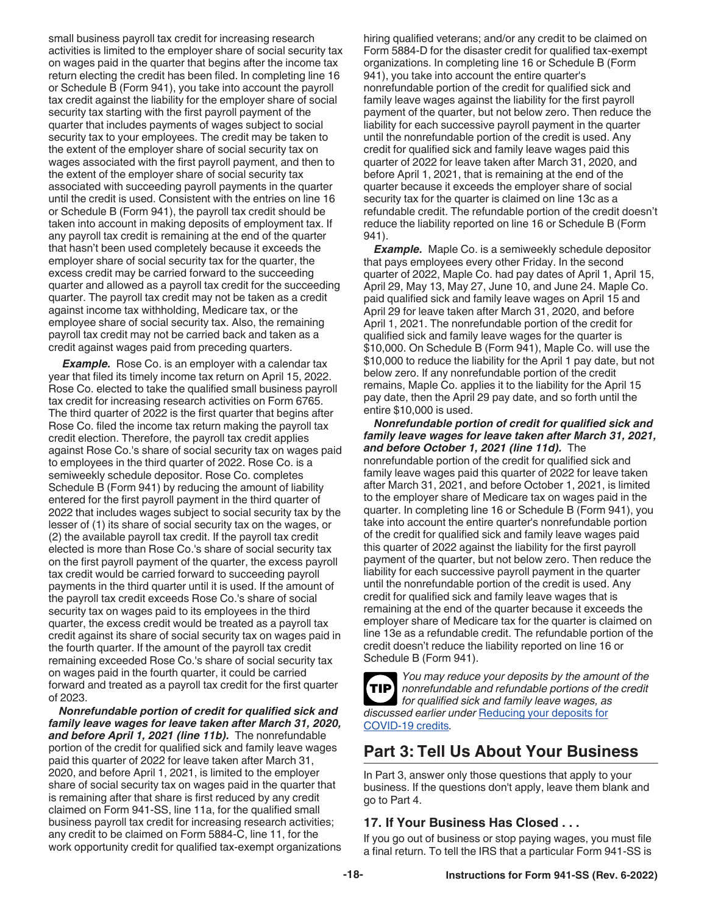<span id="page-17-0"></span>small business payroll tax credit for increasing research activities is limited to the employer share of social security tax on wages paid in the quarter that begins after the income tax return electing the credit has been filed. In completing line 16 or Schedule B (Form 941), you take into account the payroll tax credit against the liability for the employer share of social security tax starting with the first payroll payment of the quarter that includes payments of wages subject to social security tax to your employees. The credit may be taken to the extent of the employer share of social security tax on wages associated with the first payroll payment, and then to the extent of the employer share of social security tax associated with succeeding payroll payments in the quarter until the credit is used. Consistent with the entries on line 16 or Schedule B (Form 941), the payroll tax credit should be taken into account in making deposits of employment tax. If any payroll tax credit is remaining at the end of the quarter that hasn't been used completely because it exceeds the employer share of social security tax for the quarter, the excess credit may be carried forward to the succeeding quarter and allowed as a payroll tax credit for the succeeding quarter. The payroll tax credit may not be taken as a credit against income tax withholding, Medicare tax, or the employee share of social security tax. Also, the remaining payroll tax credit may not be carried back and taken as a credit against wages paid from preceding quarters.

**Example.** Rose Co. is an employer with a calendar tax year that filed its timely income tax return on April 15, 2022. Rose Co. elected to take the qualified small business payroll tax credit for increasing research activities on Form 6765. The third quarter of 2022 is the first quarter that begins after Rose Co. filed the income tax return making the payroll tax credit election. Therefore, the payroll tax credit applies against Rose Co.'s share of social security tax on wages paid to employees in the third quarter of 2022. Rose Co. is a semiweekly schedule depositor. Rose Co. completes Schedule B (Form 941) by reducing the amount of liability entered for the first payroll payment in the third quarter of 2022 that includes wages subject to social security tax by the lesser of (1) its share of social security tax on the wages, or (2) the available payroll tax credit. If the payroll tax credit elected is more than Rose Co.'s share of social security tax on the first payroll payment of the quarter, the excess payroll tax credit would be carried forward to succeeding payroll payments in the third quarter until it is used. If the amount of the payroll tax credit exceeds Rose Co.'s share of social security tax on wages paid to its employees in the third quarter, the excess credit would be treated as a payroll tax credit against its share of social security tax on wages paid in the fourth quarter. If the amount of the payroll tax credit remaining exceeded Rose Co.'s share of social security tax on wages paid in the fourth quarter, it could be carried forward and treated as a payroll tax credit for the first quarter of 2023.

*Nonrefundable portion of credit for qualified sick and family leave wages for leave taken after March 31, 2020, and before April 1, 2021 (line 11b).* The nonrefundable portion of the credit for qualified sick and family leave wages paid this quarter of 2022 for leave taken after March 31, 2020, and before April 1, 2021, is limited to the employer share of social security tax on wages paid in the quarter that is remaining after that share is first reduced by any credit claimed on Form 941-SS, line 11a, for the qualified small business payroll tax credit for increasing research activities; any credit to be claimed on Form 5884-C, line 11, for the work opportunity credit for qualified tax-exempt organizations

hiring qualified veterans; and/or any credit to be claimed on Form 5884-D for the disaster credit for qualified tax-exempt organizations. In completing line 16 or Schedule B (Form 941), you take into account the entire quarter's nonrefundable portion of the credit for qualified sick and family leave wages against the liability for the first payroll payment of the quarter, but not below zero. Then reduce the liability for each successive payroll payment in the quarter until the nonrefundable portion of the credit is used. Any credit for qualified sick and family leave wages paid this quarter of 2022 for leave taken after March 31, 2020, and before April 1, 2021, that is remaining at the end of the quarter because it exceeds the employer share of social security tax for the quarter is claimed on line 13c as a refundable credit. The refundable portion of the credit doesn't reduce the liability reported on line 16 or Schedule B (Form 941).

*Example.* Maple Co. is a semiweekly schedule depositor that pays employees every other Friday. In the second quarter of 2022, Maple Co. had pay dates of April 1, April 15, April 29, May 13, May 27, June 10, and June 24. Maple Co. paid qualified sick and family leave wages on April 15 and April 29 for leave taken after March 31, 2020, and before April 1, 2021. The nonrefundable portion of the credit for qualified sick and family leave wages for the quarter is \$10,000. On Schedule B (Form 941), Maple Co. will use the \$10,000 to reduce the liability for the April 1 pay date, but not below zero. If any nonrefundable portion of the credit remains, Maple Co. applies it to the liability for the April 15 pay date, then the April 29 pay date, and so forth until the entire \$10,000 is used.

*Nonrefundable portion of credit for qualified sick and family leave wages for leave taken after March 31, 2021, and before October 1, 2021 (line 11d).* The nonrefundable portion of the credit for qualified sick and family leave wages paid this quarter of 2022 for leave taken after March 31, 2021, and before October 1, 2021, is limited to the employer share of Medicare tax on wages paid in the quarter. In completing line 16 or Schedule B (Form 941), you take into account the entire quarter's nonrefundable portion of the credit for qualified sick and family leave wages paid this quarter of 2022 against the liability for the first payroll payment of the quarter, but not below zero. Then reduce the liability for each successive payroll payment in the quarter until the nonrefundable portion of the credit is used. Any credit for qualified sick and family leave wages that is remaining at the end of the quarter because it exceeds the employer share of Medicare tax for the quarter is claimed on line 13e as a refundable credit. The refundable portion of the credit doesn't reduce the liability reported on line 16 or Schedule B (Form 941).



*You may reduce your deposits by the amount of the nonrefundable and refundable portions of the credit for qualified sick and family leave wages, as discussed earlier under* [Reducing your deposits for](#page-7-0)  [COVID-19 credits](#page-7-0)*.*

# **Part 3: Tell Us About Your Business**

In Part 3, answer only those questions that apply to your business. If the questions don't apply, leave them blank and go to Part 4.

## **17. If Your Business Has Closed . . .**

If you go out of business or stop paying wages, you must file a final return. To tell the IRS that a particular Form 941-SS is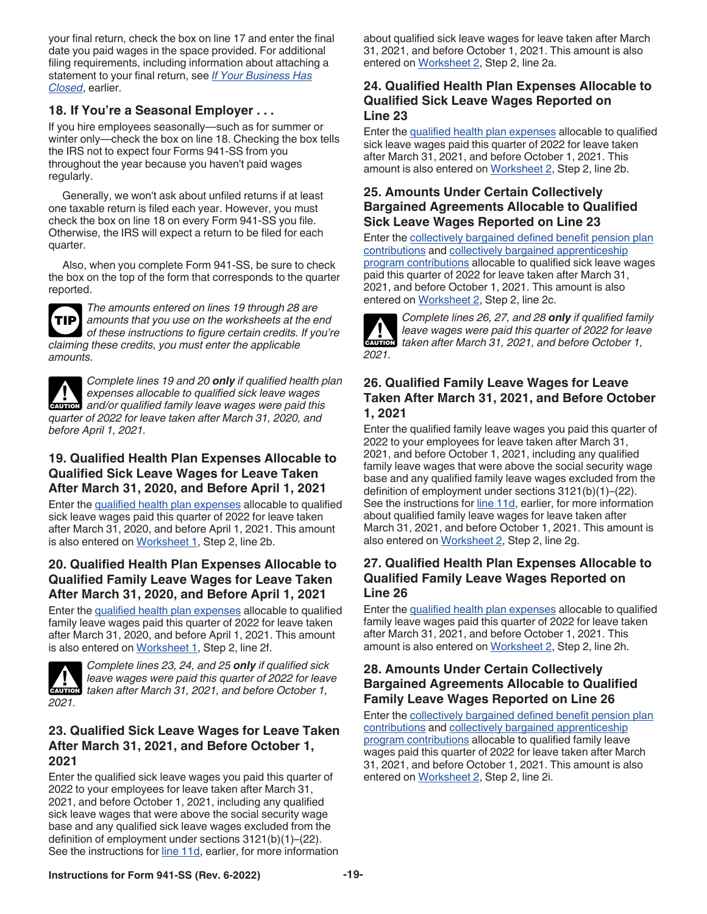<span id="page-18-0"></span>your final return, check the box on line 17 and enter the final date you paid wages in the space provided. For additional filing requirements, including information about attaching a statement to your final return, see *[If Your Business Has](#page-5-0)  [Closed](#page-5-0)*, earlier.

#### **18. If You're a Seasonal Employer . . .**

If you hire employees seasonally—such as for summer or winter only—check the box on line 18. Checking the box tells the IRS not to expect four Forms 941-SS from you throughout the year because you haven't paid wages regularly.

Generally, we won't ask about unfiled returns if at least one taxable return is filed each year. However, you must check the box on line 18 on every Form 941-SS you file. Otherwise, the IRS will expect a return to be filed for each quarter.

Also, when you complete Form 941-SS, be sure to check the box on the top of the form that corresponds to the quarter reported.



*The amounts entered on lines 19 through 28 are amounts that you use on the worksheets at the end*  **TIP** *of these instructions to figure certain credits. If you're claiming these credits, you must enter the applicable amounts.*

*Complete lines 19 and 20 only if qualified health plan expenses allocable to qualified sick leave wages*  **EXPENSES** allocable to qualified sick leave wages allocable to qualified sick leave wages *quarter of 2022 for leave taken after March 31, 2020, and before April 1, 2021.*

#### **19. Qualified Health Plan Expenses Allocable to Qualified Sick Leave Wages for Leave Taken After March 31, 2020, and Before April 1, 2021**

Enter the [qualified health plan expenses](#page-13-0) allocable to qualified sick leave wages paid this quarter of 2022 for leave taken after March 31, 2020, and before April 1, 2021. This amount is also entered on [Worksheet 1](#page-20-0), Step 2, line 2b.

## **20. Qualified Health Plan Expenses Allocable to Qualified Family Leave Wages for Leave Taken After March 31, 2020, and Before April 1, 2021**

Enter the [qualified health plan expenses](#page-13-0) allocable to qualified family leave wages paid this quarter of 2022 for leave taken after March 31, 2020, and before April 1, 2021. This amount is also entered on [Worksheet 1](#page-20-0), Step 2, line 2f.



*Complete lines 23, 24, and 25 only if qualified sick leave wages were paid this quarter of 2022 for leave taken after March 31, 2021, and before October 1,* $\overline{a}$ 

#### **23. Qualified Sick Leave Wages for Leave Taken After March 31, 2021, and Before October 1, 2021**

Enter the qualified sick leave wages you paid this quarter of 2022 to your employees for leave taken after March 31, 2021, and before October 1, 2021, including any qualified sick leave wages that were above the social security wage base and any qualified sick leave wages excluded from the definition of employment under sections 3121(b)(1)–(22). See the instructions for [line 11d](#page-13-0), earlier, for more information about qualified sick leave wages for leave taken after March 31, 2021, and before October 1, 2021. This amount is also entered on [Worksheet 2](#page-21-0), Step 2, line 2a.

#### **24. Qualified Health Plan Expenses Allocable to Qualified Sick Leave Wages Reported on Line 23**

Enter the [qualified health plan expenses](#page-14-0) allocable to qualified sick leave wages paid this quarter of 2022 for leave taken after March 31, 2021, and before October 1, 2021. This amount is also entered on [Worksheet 2,](#page-21-0) Step 2, line 2b.

#### **25. Amounts Under Certain Collectively Bargained Agreements Allocable to Qualified Sick Leave Wages Reported on Line 23**

Enter the [collectively bargained defined benefit pension plan](#page-14-0)  [contributions](#page-14-0) and [collectively bargained apprenticeship](#page-14-0) [program contributions](#page-14-0) allocable to qualified sick leave wages paid this quarter of 2022 for leave taken after March 31, 2021, and before October 1, 2021. This amount is also entered on [Worksheet 2](#page-21-0), Step 2, line 2c.



*Complete lines 26, 27, and 28 only if qualified family leave wages were paid this quarter of 2022 for leave taken after March 31, 2021, and before October 1,* $\overline{a}$ 

## **26. Qualified Family Leave Wages for Leave Taken After March 31, 2021, and Before October 1, 2021**

Enter the qualified family leave wages you paid this quarter of 2022 to your employees for leave taken after March 31, 2021, and before October 1, 2021, including any qualified family leave wages that were above the social security wage base and any qualified family leave wages excluded from the definition of employment under sections 3121(b)(1)–(22). See the instructions for [line 11d](#page-13-0), earlier, for more information about qualified family leave wages for leave taken after March 31, 2021, and before October 1, 2021. This amount is also entered on [Worksheet 2](#page-21-0), Step 2, line 2g.

#### **27. Qualified Health Plan Expenses Allocable to Qualified Family Leave Wages Reported on Line 26**

Enter the [qualified health plan expenses](#page-14-0) allocable to qualified family leave wages paid this quarter of 2022 for leave taken after March 31, 2021, and before October 1, 2021. This amount is also entered on [Worksheet 2,](#page-21-0) Step 2, line 2h.

#### **28. Amounts Under Certain Collectively Bargained Agreements Allocable to Qualified Family Leave Wages Reported on Line 26**

Enter the [collectively bargained defined benefit pension plan](#page-14-0)  [contributions](#page-14-0) and [collectively bargained apprenticeship](#page-14-0) [program contributions](#page-14-0) allocable to qualified family leave wages paid this quarter of 2022 for leave taken after March 31, 2021, and before October 1, 2021. This amount is also entered on [Worksheet 2](#page-21-0), Step 2, line 2i.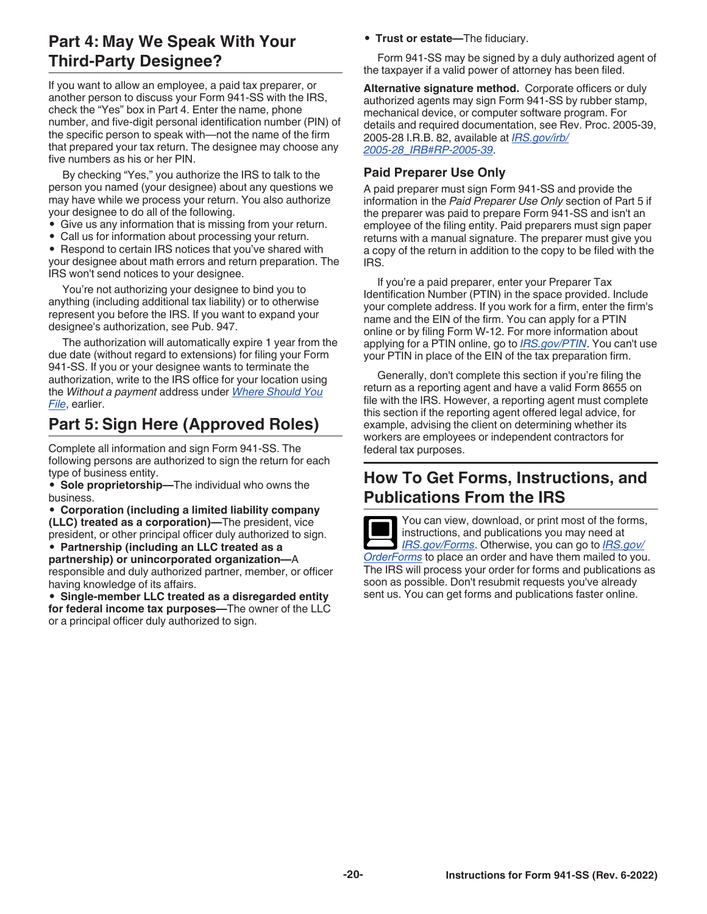## <span id="page-19-0"></span>**Part 4: May We Speak With Your Third-Party Designee?**

If you want to allow an employee, a paid tax preparer, or another person to discuss your Form 941-SS with the IRS, check the "Yes" box in Part 4. Enter the name, phone number, and five-digit personal identification number (PIN) of the specific person to speak with—not the name of the firm that prepared your tax return. The designee may choose any five numbers as his or her PIN.

By checking "Yes," you authorize the IRS to talk to the person you named (your designee) about any questions we may have while we process your return. You also authorize your designee to do all of the following.

- Give us any information that is missing from your return.
- Call us for information about processing your return.

• Respond to certain IRS notices that you've shared with your designee about math errors and return preparation. The IRS won't send notices to your designee.

You're not authorizing your designee to bind you to anything (including additional tax liability) or to otherwise represent you before the IRS. If you want to expand your designee's authorization, see Pub. 947.

The authorization will automatically expire 1 year from the due date (without regard to extensions) for filing your Form 941-SS. If you or your designee wants to terminate the authorization, write to the IRS office for your location using the *Without a payment* address under *[Where Should You](#page-7-0)  [File](#page-7-0)*, earlier.

# **Part 5: Sign Here (Approved Roles)**

Complete all information and sign Form 941-SS. The following persons are authorized to sign the return for each type of business entity.

• **Sole proprietorship—**The individual who owns the business.

• **Corporation (including a limited liability company (LLC) treated as a corporation)—**The president, vice president, or other principal officer duly authorized to sign.

• **Partnership (including an LLC treated as a partnership) or unincorporated organization—**A responsible and duly authorized partner, member, or officer having knowledge of its affairs.

• **Single-member LLC treated as a disregarded entity for federal income tax purposes—**The owner of the LLC or a principal officer duly authorized to sign.

• **Trust or estate—**The fiduciary.

Form 941-SS may be signed by a duly authorized agent of the taxpayer if a valid power of attorney has been filed.

**Alternative signature method.** Corporate officers or duly authorized agents may sign Form 941-SS by rubber stamp, mechanical device, or computer software program. For details and required documentation, see Rev. Proc. 2005-39, 2005-28 I.R.B. 82, available at *[IRS.gov/irb/](https://www.irs.gov/irb/2005-28_IRB#RP-2005-39) [2005-28\\_IRB#RP-2005-39](https://www.irs.gov/irb/2005-28_IRB#RP-2005-39)*.

#### **Paid Preparer Use Only**

A paid preparer must sign Form 941-SS and provide the information in the *Paid Preparer Use Only* section of Part 5 if the preparer was paid to prepare Form 941-SS and isn't an employee of the filing entity. Paid preparers must sign paper returns with a manual signature. The preparer must give you a copy of the return in addition to the copy to be filed with the IRS.

If you're a paid preparer, enter your Preparer Tax Identification Number (PTIN) in the space provided. Include your complete address. If you work for a firm, enter the firm's name and the EIN of the firm. You can apply for a PTIN online or by filing Form W-12. For more information about applying for a PTIN online, go to *[IRS.gov/PTIN](https://www.irs.gov/ptin)*. You can't use your PTIN in place of the EIN of the tax preparation firm.

Generally, don't complete this section if you're filing the return as a reporting agent and have a valid Form 8655 on file with the IRS. However, a reporting agent must complete this section if the reporting agent offered legal advice, for example, advising the client on determining whether its workers are employees or independent contractors for federal tax purposes.

## **How To Get Forms, Instructions, and Publications From the IRS**

You can view, download, or print most of the forms, instructions, and publications you may need at *[IRS.gov/Forms](https://www.irs.gov/forms)*. Otherwise, you can go to *[IRS.gov/](https://www.irs.gov/orderforms) [OrderForms](https://www.irs.gov/orderforms)* to place an order and have them mailed to you. The IRS will process your order for forms and publications as soon as possible. Don't resubmit requests you've already sent us. You can get forms and publications faster online.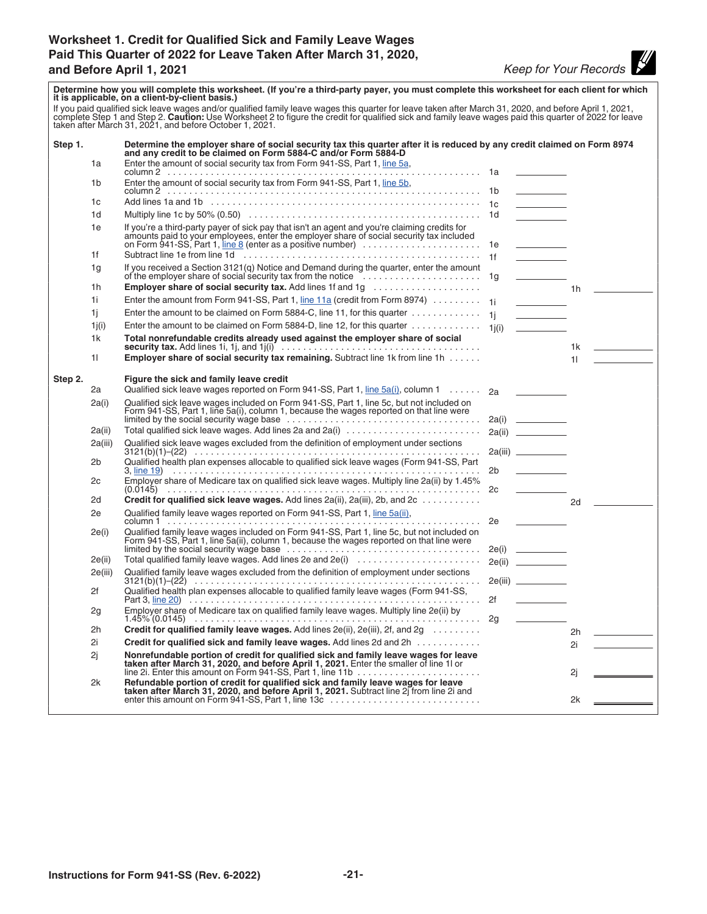#### <span id="page-20-0"></span>**Worksheet 1. Credit for Qualified Sick and Family Leave Wages Paid This Quarter of 2022 for Leave Taken After March 31, 2020, and Before April 1, 2021** *Keep for Your Records*

| Determine how you will complete this worksheet. (If you're a third-party payer, you must complete this worksheet for each client for which<br>it is applicable, on a client-by-client basis.)                                                                                             |         |                                                                                                                                                                                                                                      |                |                                                                                                                                                                                                                                      |    |               |
|-------------------------------------------------------------------------------------------------------------------------------------------------------------------------------------------------------------------------------------------------------------------------------------------|---------|--------------------------------------------------------------------------------------------------------------------------------------------------------------------------------------------------------------------------------------|----------------|--------------------------------------------------------------------------------------------------------------------------------------------------------------------------------------------------------------------------------------|----|---------------|
| If you paid qualified sick leave wages and/or qualified family leave wages this quarter for leave taken after March 31, 2020, and before April 1, 2021, complete Step 1 and Step 2. Caution: Use Worksheet 2 to figure the cre<br>taken after March 31, 2021, and before October 1, 2021. |         |                                                                                                                                                                                                                                      |                |                                                                                                                                                                                                                                      |    |               |
| Step 1.                                                                                                                                                                                                                                                                                   |         | Determine the employer share of social security tax this quarter after it is reduced by any credit claimed on Form 8974<br>and any credit to be claimed on Form 5884-C and/or Form 5884-D                                            |                |                                                                                                                                                                                                                                      |    |               |
|                                                                                                                                                                                                                                                                                           | 1a      | Enter the amount of social security tax from Form 941-SS, Part 1, line 5a,                                                                                                                                                           |                |                                                                                                                                                                                                                                      |    |               |
|                                                                                                                                                                                                                                                                                           | 1b      | Enter the amount of social security tax from Form 941-SS, Part 1, line 5b,                                                                                                                                                           |                |                                                                                                                                                                                                                                      |    |               |
|                                                                                                                                                                                                                                                                                           |         |                                                                                                                                                                                                                                      |                |                                                                                                                                                                                                                                      |    |               |
|                                                                                                                                                                                                                                                                                           | 1c      |                                                                                                                                                                                                                                      |                | $\overline{\phantom{a}}$                                                                                                                                                                                                             |    |               |
|                                                                                                                                                                                                                                                                                           | 1d      |                                                                                                                                                                                                                                      |                |                                                                                                                                                                                                                                      |    |               |
|                                                                                                                                                                                                                                                                                           | 1e      | If you're a third-party payer of sick pay that isn't an agent and you're claiming credits for<br>amounts paid to your employees, enter the employer share of social security tax included<br>on Form 941-SS, Part 1, line 8 (enter a |                |                                                                                                                                                                                                                                      |    |               |
|                                                                                                                                                                                                                                                                                           | 1f      |                                                                                                                                                                                                                                      |                |                                                                                                                                                                                                                                      |    |               |
|                                                                                                                                                                                                                                                                                           | 1g      |                                                                                                                                                                                                                                      |                | <u> The Community of the Community of the Community of the Community of the Community of the Community of the Community of the Community of the Community of the Community of the Community of the Community of the Community of</u> |    |               |
|                                                                                                                                                                                                                                                                                           | 1h      |                                                                                                                                                                                                                                      |                |                                                                                                                                                                                                                                      |    | $1h$ $\qquad$ |
|                                                                                                                                                                                                                                                                                           | 1i.     | Enter the amount from Form 941-SS, Part 1, line 11a (credit from Form 8974) 1j                                                                                                                                                       |                |                                                                                                                                                                                                                                      |    |               |
|                                                                                                                                                                                                                                                                                           | 1i.     | Enter the amount to be claimed on Form 5884-C, line 11, for this quarter $\dots\dots\dots\dots\dots\dots$                                                                                                                            |                |                                                                                                                                                                                                                                      |    |               |
|                                                                                                                                                                                                                                                                                           | 1j(i)   | Enter the amount to be claimed on Form 5884-D, line 12, for this quarter $\dots\dots\dots\dots\dots$ 1j(i)                                                                                                                           |                | <u> De Carlos de Ca</u>                                                                                                                                                                                                              |    |               |
|                                                                                                                                                                                                                                                                                           | 1k      | Total nonrefundable credits already used against the employer share of social<br><b>security tax.</b> Add lines 1i, 1j, and $1j(i)$ $\ldots$ $\ldots$ $\ldots$ $\ldots$ $\ldots$ $\ldots$ $\ldots$ $\ldots$ $\ldots$                 |                |                                                                                                                                                                                                                                      |    | $1k$ and $2k$ |
|                                                                                                                                                                                                                                                                                           | 11      | <b>Employer share of social security tax remaining.</b> Subtract line 1k from line 1h                                                                                                                                                |                |                                                                                                                                                                                                                                      |    | $11 - 20$     |
| Step 2.                                                                                                                                                                                                                                                                                   |         | Figure the sick and family leave credit                                                                                                                                                                                              |                |                                                                                                                                                                                                                                      |    |               |
|                                                                                                                                                                                                                                                                                           | 2a      | Qualified sick leave wages reported on Form 941-SS, Part 1, line 5a(i), column 1 2a                                                                                                                                                  |                |                                                                                                                                                                                                                                      |    |               |
|                                                                                                                                                                                                                                                                                           | 2a(i)   | Qualified sick leave wages included on Form 941-SS, Part 1, line 5c, but not included on Form 941-SS, Part 1, line 5a(i), column 1, because the wages reported on that line were                                                     |                |                                                                                                                                                                                                                                      |    |               |
|                                                                                                                                                                                                                                                                                           | 2a(ii)  | Total qualified sick leave wages. Add lines 2a and 2a(i)                                                                                                                                                                             |                |                                                                                                                                                                                                                                      |    |               |
|                                                                                                                                                                                                                                                                                           | 2a(iii) | Qualified sick leave wages excluded from the definition of employment under sections                                                                                                                                                 |                |                                                                                                                                                                                                                                      |    |               |
|                                                                                                                                                                                                                                                                                           | 2b      | Qualified health plan expenses allocable to qualified sick leave wages (Form 941-SS, Part                                                                                                                                            |                |                                                                                                                                                                                                                                      |    |               |
|                                                                                                                                                                                                                                                                                           |         |                                                                                                                                                                                                                                      | 2 <sub>b</sub> | <u> The Community of the Community</u>                                                                                                                                                                                               |    |               |
|                                                                                                                                                                                                                                                                                           | 2c      | Employer share of Medicare tax on qualified sick leave wages. Multiply line 2a(ii) by 1.45%                                                                                                                                          | 2c             |                                                                                                                                                                                                                                      |    |               |
|                                                                                                                                                                                                                                                                                           | 2d      | Credit for qualified sick leave wages. Add lines 2a(ii), 2a(iii), 2b, and 2c                                                                                                                                                         |                |                                                                                                                                                                                                                                      | 2d |               |
|                                                                                                                                                                                                                                                                                           | 2e      | Qualified family leave wages reported on Form 941-SS, Part 1, line 5a(ii),                                                                                                                                                           |                |                                                                                                                                                                                                                                      |    |               |
|                                                                                                                                                                                                                                                                                           | 2e(i)   | Qualified family leave wages included on Form 941-SS, Part 1, line 5c, but not included on Form 941-SS, Part 1, line 5a(ii), column 1, because the wages reported on that line were                                                  |                |                                                                                                                                                                                                                                      |    |               |
|                                                                                                                                                                                                                                                                                           | 2e(ii)  | Total qualified family leave wages. Add lines 2e and 2e(i)                                                                                                                                                                           |                |                                                                                                                                                                                                                                      |    |               |
|                                                                                                                                                                                                                                                                                           | 2e(iii) | Qualified family leave wages excluded from the definition of employment under sections                                                                                                                                               |                |                                                                                                                                                                                                                                      |    |               |
|                                                                                                                                                                                                                                                                                           |         |                                                                                                                                                                                                                                      |                |                                                                                                                                                                                                                                      |    |               |
|                                                                                                                                                                                                                                                                                           | 2f      | Qualified health plan expenses allocable to qualified family leave wages (Form 941-SS,                                                                                                                                               | 2f             |                                                                                                                                                                                                                                      |    |               |
|                                                                                                                                                                                                                                                                                           | 2g      | Employer share of Medicare tax on qualified family leave wages. Multiply line 2e(ii) by                                                                                                                                              |                |                                                                                                                                                                                                                                      |    |               |
|                                                                                                                                                                                                                                                                                           | 2h      | Credit for qualified family leave wages. Add lines 2e(ii), 2e(iii), 2f, and 2g                                                                                                                                                       |                |                                                                                                                                                                                                                                      | 2h |               |
|                                                                                                                                                                                                                                                                                           | 2i      | Credit for qualified sick and family leave wages. Add lines 2d and 2h                                                                                                                                                                |                |                                                                                                                                                                                                                                      | 2i |               |
|                                                                                                                                                                                                                                                                                           | 2j      | Nonrefundable portion of credit for qualified sick and family leave wages for leave<br>taken after March 31, 2020, and before April 1, 2021. Enter the smaller of line 1l or                                                         |                |                                                                                                                                                                                                                                      |    |               |
|                                                                                                                                                                                                                                                                                           | 2k      | line 2i. Enter this amount on Form 941-SS, Part 1, line 11b                                                                                                                                                                          |                |                                                                                                                                                                                                                                      | 2j |               |
|                                                                                                                                                                                                                                                                                           |         | Refundable portion of credit for qualified sick and family leave wages for leave<br>taken after March 31, 2020, and before April 1, 2021. Subtract line 2j from line 2i and<br>enter this amount on Form 941-SS, Part 1, line 13c    |                |                                                                                                                                                                                                                                      | 2k |               |